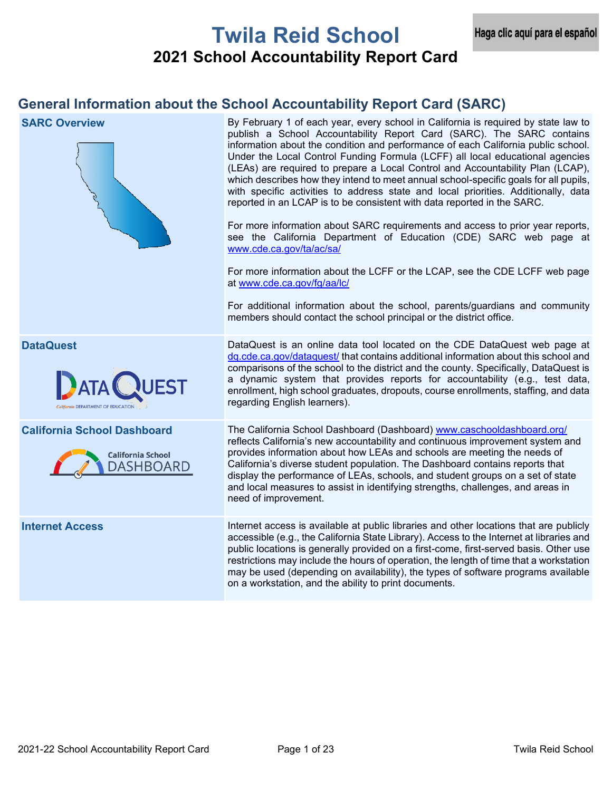# **Twila Reid School 2021 School Accountability Report Card**

# **General Information about the School Accountability Report Card (SARC)**

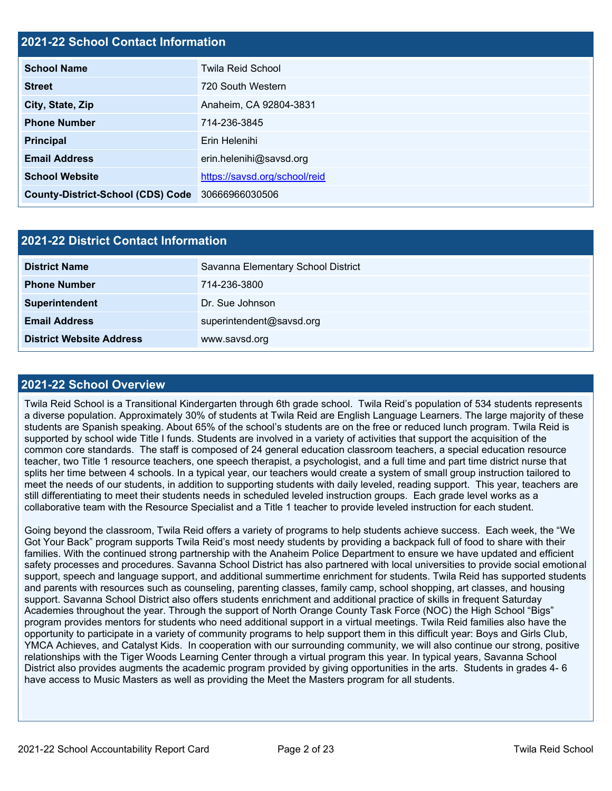# **2021-22 School Contact Information**

| <b>School Name</b>                       | <b>Twila Reid School</b>      |  |  |  |
|------------------------------------------|-------------------------------|--|--|--|
| <b>Street</b>                            | 720 South Western             |  |  |  |
| City, State, Zip                         | Anaheim, CA 92804-3831        |  |  |  |
| <b>Phone Number</b>                      | 714-236-3845                  |  |  |  |
| <b>Principal</b>                         | Erin Helenihi                 |  |  |  |
| <b>Email Address</b>                     | erin.helenihi@savsd.org       |  |  |  |
| <b>School Website</b>                    | https://savsd.org/school/reid |  |  |  |
| <b>County-District-School (CDS) Code</b> | 30666966030506                |  |  |  |

| <b>2021-22 District Contact Information</b> |                                    |  |  |  |  |
|---------------------------------------------|------------------------------------|--|--|--|--|
| <b>District Name</b>                        | Savanna Elementary School District |  |  |  |  |
| <b>Phone Number</b>                         | 714-236-3800                       |  |  |  |  |
| Superintendent                              | Dr. Sue Johnson                    |  |  |  |  |
| <b>Email Address</b>                        | superintendent@savsd.org           |  |  |  |  |
| <b>District Website Address</b>             | www.savsd.org                      |  |  |  |  |

## **2021-22 School Overview**

Twila Reid School is a Transitional Kindergarten through 6th grade school. Twila Reid's population of 534 students represents a diverse population. Approximately 30% of students at Twila Reid are English Language Learners. The large majority of these students are Spanish speaking. About 65% of the school's students are on the free or reduced lunch program. Twila Reid is supported by school wide Title I funds. Students are involved in a variety of activities that support the acquisition of the common core standards. The staff is composed of 24 general education classroom teachers, a special education resource teacher, two Title 1 resource teachers, one speech therapist, a psychologist, and a full time and part time district nurse that splits her time between 4 schools. In a typical year, our teachers would create a system of small group instruction tailored to meet the needs of our students, in addition to supporting students with daily leveled, reading support. This year, teachers are still differentiating to meet their students needs in scheduled leveled instruction groups. Each grade level works as a collaborative team with the Resource Specialist and a Title 1 teacher to provide leveled instruction for each student.

Going beyond the classroom, Twila Reid offers a variety of programs to help students achieve success. Each week, the "We Got Your Back" program supports Twila Reid's most needy students by providing a backpack full of food to share with their families. With the continued strong partnership with the Anaheim Police Department to ensure we have updated and efficient safety processes and procedures. Savanna School District has also partnered with local universities to provide social emotional support, speech and language support, and additional summertime enrichment for students. Twila Reid has supported students and parents with resources such as counseling, parenting classes, family camp, school shopping, art classes, and housing support. Savanna School District also offers students enrichment and additional practice of skills in frequent Saturday Academies throughout the year. Through the support of North Orange County Task Force (NOC) the High School "Bigs" program provides mentors for students who need additional support in a virtual meetings. Twila Reid families also have the opportunity to participate in a variety of community programs to help support them in this difficult year: Boys and Girls Club, YMCA Achieves, and Catalyst Kids. In cooperation with our surrounding community, we will also continue our strong, positive relationships with the Tiger Woods Learning Center through a virtual program this year. In typical years, Savanna School District also provides augments the academic program provided by giving opportunities in the arts. Students in grades 4- 6 have access to Music Masters as well as providing the Meet the Masters program for all students.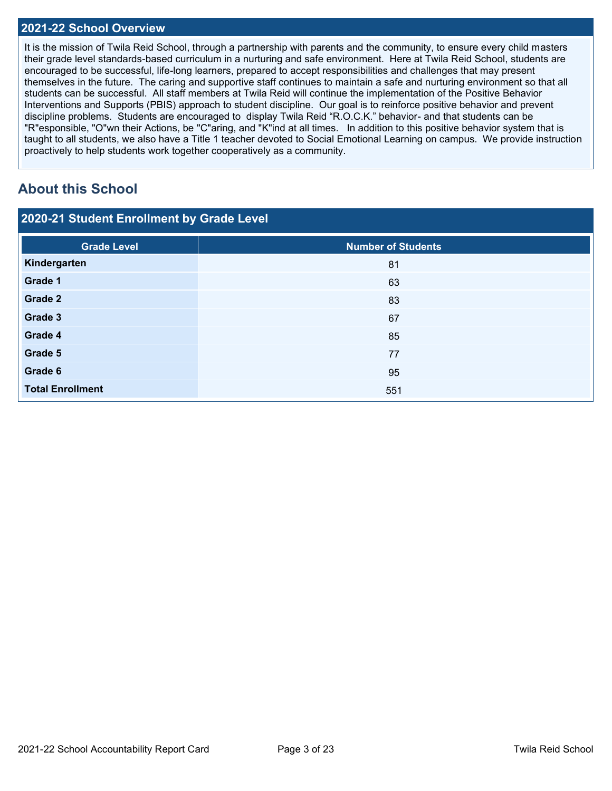## **2021-22 School Overview**

It is the mission of Twila Reid School, through a partnership with parents and the community, to ensure every child masters their grade level standards-based curriculum in a nurturing and safe environment. Here at Twila Reid School, students are encouraged to be successful, life-long learners, prepared to accept responsibilities and challenges that may present themselves in the future. The caring and supportive staff continues to maintain a safe and nurturing environment so that all students can be successful. All staff members at Twila Reid will continue the implementation of the Positive Behavior Interventions and Supports (PBIS) approach to student discipline. Our goal is to reinforce positive behavior and prevent discipline problems. Students are encouraged to display Twila Reid "R.O.C.K." behavior- and that students can be "R"esponsible, "O"wn their Actions, be "C"aring, and "K"ind at all times. In addition to this positive behavior system that is taught to all students, we also have a Title 1 teacher devoted to Social Emotional Learning on campus. We provide instruction proactively to help students work together cooperatively as a community.

# **About this School**

| 2020-21 Student Enrollment by Grade Level |  |  |
|-------------------------------------------|--|--|
|                                           |  |  |

| <b>Grade Level</b>      | <b>Number of Students</b> |
|-------------------------|---------------------------|
| Kindergarten            | 81                        |
| Grade 1                 | 63                        |
| Grade 2                 | 83                        |
| Grade 3                 | 67                        |
| Grade 4                 | 85                        |
| Grade 5                 | 77                        |
| Grade 6                 | 95                        |
| <b>Total Enrollment</b> | 551                       |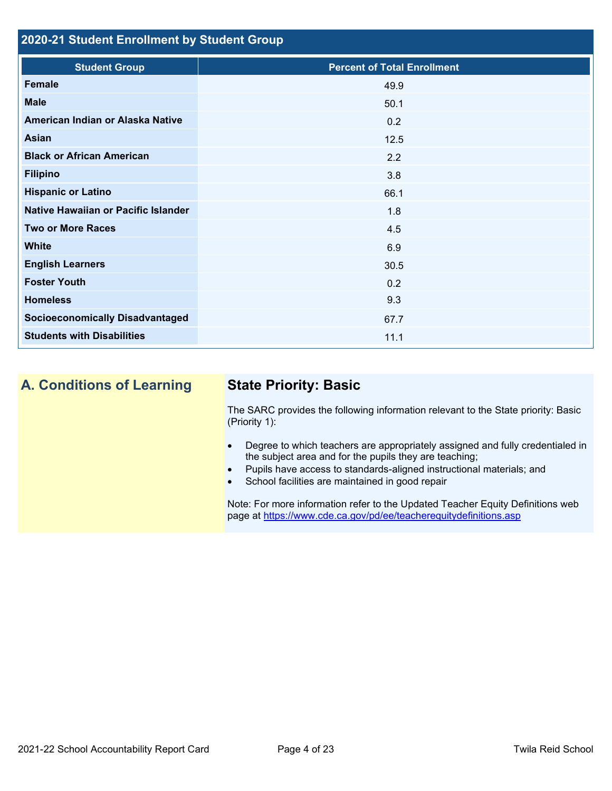# **2020-21 Student Enrollment by Student Group**

| <b>Student Group</b>                   | <b>Percent of Total Enrollment</b> |
|----------------------------------------|------------------------------------|
| <b>Female</b>                          | 49.9                               |
| <b>Male</b>                            | 50.1                               |
| American Indian or Alaska Native       | 0.2                                |
| <b>Asian</b>                           | 12.5                               |
| <b>Black or African American</b>       | 2.2                                |
| <b>Filipino</b>                        | 3.8                                |
| <b>Hispanic or Latino</b>              | 66.1                               |
| Native Hawaiian or Pacific Islander    | 1.8                                |
| <b>Two or More Races</b>               | 4.5                                |
| <b>White</b>                           | 6.9                                |
| <b>English Learners</b>                | 30.5                               |
| <b>Foster Youth</b>                    | 0.2                                |
| <b>Homeless</b>                        | 9.3                                |
| <b>Socioeconomically Disadvantaged</b> | 67.7                               |
| <b>Students with Disabilities</b>      | 11.1                               |

# **A. Conditions of Learning State Priority: Basic**

The SARC provides the following information relevant to the State priority: Basic (Priority 1):

- Degree to which teachers are appropriately assigned and fully credentialed in the subject area and for the pupils they are teaching;
- Pupils have access to standards-aligned instructional materials; and
- School facilities are maintained in good repair

Note: For more information refer to the Updated Teacher Equity Definitions web page at<https://www.cde.ca.gov/pd/ee/teacherequitydefinitions.asp>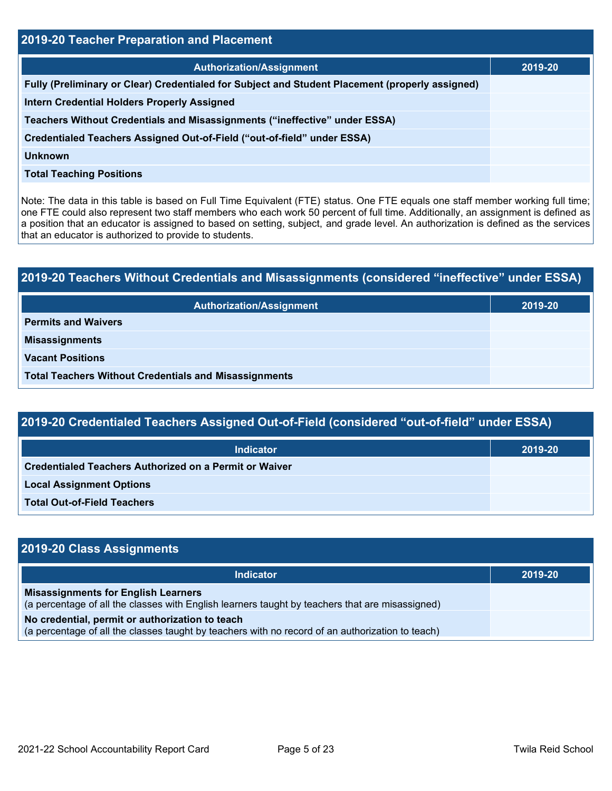| <b>2019-20 Teacher Preparation and Placement</b>                                                |         |  |  |  |
|-------------------------------------------------------------------------------------------------|---------|--|--|--|
| <b>Authorization/Assignment</b>                                                                 | 2019-20 |  |  |  |
| Fully (Preliminary or Clear) Credentialed for Subject and Student Placement (properly assigned) |         |  |  |  |
| <b>Intern Credential Holders Properly Assigned</b>                                              |         |  |  |  |
| Teachers Without Credentials and Misassignments ("ineffective" under ESSA)                      |         |  |  |  |
| Credentialed Teachers Assigned Out-of-Field ("out-of-field" under ESSA)                         |         |  |  |  |
| <b>Unknown</b>                                                                                  |         |  |  |  |
| <b>Total Teaching Positions</b>                                                                 |         |  |  |  |

Note: The data in this table is based on Full Time Equivalent (FTE) status. One FTE equals one staff member working full time; one FTE could also represent two staff members who each work 50 percent of full time. Additionally, an assignment is defined as a position that an educator is assigned to based on setting, subject, and grade level. An authorization is defined as the services that an educator is authorized to provide to students.

# **2019-20 Teachers Without Credentials and Misassignments (considered "ineffective" under ESSA) Authorization/Assignment 2019-20 Permits and Waivers Misassignments Vacant Positions Total Teachers Without Credentials and Misassignments**

| 2019-20 Credentialed Teachers Assigned Out-of-Field (considered "out-of-field" under ESSA) |         |  |  |  |  |
|--------------------------------------------------------------------------------------------|---------|--|--|--|--|
| Indicator                                                                                  | 2019-20 |  |  |  |  |
| Credentialed Teachers Authorized on a Permit or Waiver                                     |         |  |  |  |  |
| <b>Local Assignment Options</b>                                                            |         |  |  |  |  |
| <b>Total Out-of-Field Teachers</b>                                                         |         |  |  |  |  |

| 2019-20 Class Assignments                                                                                                                           |         |
|-----------------------------------------------------------------------------------------------------------------------------------------------------|---------|
| <b>Indicator</b>                                                                                                                                    | 2019-20 |
| <b>Misassignments for English Learners</b><br>(a percentage of all the classes with English learners taught by teachers that are misassigned)       |         |
| No credential, permit or authorization to teach<br>(a percentage of all the classes taught by teachers with no record of an authorization to teach) |         |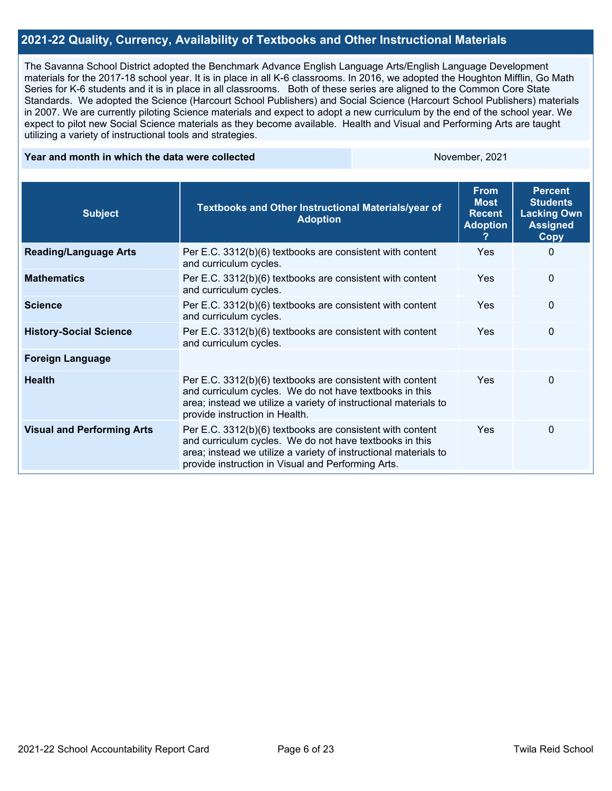# **2021-22 Quality, Currency, Availability of Textbooks and Other Instructional Materials**

The Savanna School District adopted the Benchmark Advance English Language Arts/English Language Development materials for the 2017-18 school year. It is in place in all K-6 classrooms. In 2016, we adopted the Houghton Mifflin, Go Math Series for K-6 students and it is in place in all classrooms. Both of these series are aligned to the Common Core State Standards. We adopted the Science (Harcourt School Publishers) and Social Science (Harcourt School Publishers) materials in 2007. We are currently piloting Science materials and expect to adopt a new curriculum by the end of the school year. We expect to pilot new Social Science materials as they become available. Health and Visual and Performing Arts are taught utilizing a variety of instructional tools and strategies.

#### **Year and month in which the data were collected November, 2021** November, 2021

| <b>Subject</b>                    | Textbooks and Other Instructional Materials/year of<br><b>Adoption</b>                                                                                                                                                                         | <b>From</b><br><b>Most</b><br><b>Recent</b><br><b>Adoption</b> | <b>Percent</b><br><b>Students</b><br><b>Lacking Own</b><br><b>Assigned</b><br>Copy |
|-----------------------------------|------------------------------------------------------------------------------------------------------------------------------------------------------------------------------------------------------------------------------------------------|----------------------------------------------------------------|------------------------------------------------------------------------------------|
| <b>Reading/Language Arts</b>      | Per E.C. 3312(b)(6) textbooks are consistent with content<br>and curriculum cycles.                                                                                                                                                            | <b>Yes</b>                                                     | 0                                                                                  |
| <b>Mathematics</b>                | Per E.C. 3312(b)(6) textbooks are consistent with content<br>and curriculum cycles.                                                                                                                                                            | Yes                                                            | 0                                                                                  |
| <b>Science</b>                    | Per E.C. 3312(b)(6) textbooks are consistent with content<br>and curriculum cycles.                                                                                                                                                            | Yes                                                            | 0                                                                                  |
| <b>History-Social Science</b>     | Per E.C. 3312(b)(6) textbooks are consistent with content<br>and curriculum cycles.                                                                                                                                                            | Yes                                                            | $\Omega$                                                                           |
| <b>Foreign Language</b>           |                                                                                                                                                                                                                                                |                                                                |                                                                                    |
| <b>Health</b>                     | Per E.C. 3312(b)(6) textbooks are consistent with content<br>and curriculum cycles. We do not have textbooks in this<br>area; instead we utilize a variety of instructional materials to<br>provide instruction in Health.                     | <b>Yes</b>                                                     | 0                                                                                  |
| <b>Visual and Performing Arts</b> | Per E.C. 3312(b)(6) textbooks are consistent with content<br>and curriculum cycles. We do not have textbooks in this<br>area; instead we utilize a variety of instructional materials to<br>provide instruction in Visual and Performing Arts. | <b>Yes</b>                                                     | 0                                                                                  |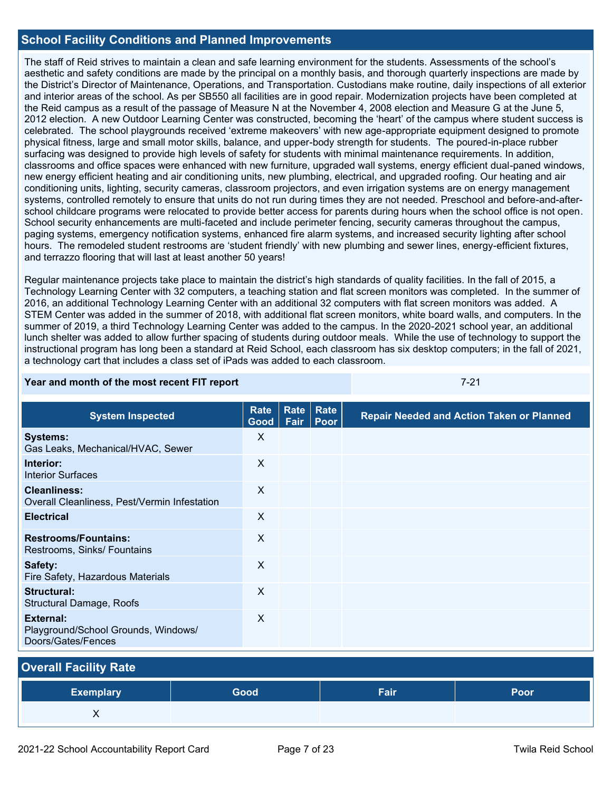# **School Facility Conditions and Planned Improvements**

The staff of Reid strives to maintain a clean and safe learning environment for the students. Assessments of the school's aesthetic and safety conditions are made by the principal on a monthly basis, and thorough quarterly inspections are made by the District's Director of Maintenance, Operations, and Transportation. Custodians make routine, daily inspections of all exterior and interior areas of the school. As per SB550 all facilities are in good repair. Modernization projects have been completed at the Reid campus as a result of the passage of Measure N at the November 4, 2008 election and Measure G at the June 5, 2012 election. A new Outdoor Learning Center was constructed, becoming the 'heart' of the campus where student success is celebrated. The school playgrounds received 'extreme makeovers' with new age-appropriate equipment designed to promote physical fitness, large and small motor skills, balance, and upper-body strength for students. The poured-in-place rubber surfacing was designed to provide high levels of safety for students with minimal maintenance requirements. In addition, classrooms and office spaces were enhanced with new furniture, upgraded wall systems, energy efficient dual-paned windows, new energy efficient heating and air conditioning units, new plumbing, electrical, and upgraded roofing. Our heating and air conditioning units, lighting, security cameras, classroom projectors, and even irrigation systems are on energy management systems, controlled remotely to ensure that units do not run during times they are not needed. Preschool and before-and-afterschool childcare programs were relocated to provide better access for parents during hours when the school office is not open. School security enhancements are multi-faceted and include perimeter fencing, security cameras throughout the campus, paging systems, emergency notification systems, enhanced fire alarm systems, and increased security lighting after school hours. The remodeled student restrooms are 'student friendly' with new plumbing and sewer lines, energy-efficient fixtures, and terrazzo flooring that will last at least another 50 years!

Regular maintenance projects take place to maintain the district's high standards of quality facilities. In the fall of 2015, a Technology Learning Center with 32 computers, a teaching station and flat screen monitors was completed. In the summer of 2016, an additional Technology Learning Center with an additional 32 computers with flat screen monitors was added. A STEM Center was added in the summer of 2018, with additional flat screen monitors, white board walls, and computers. In the summer of 2019, a third Technology Learning Center was added to the campus. In the 2020-2021 school year, an additional lunch shelter was added to allow further spacing of students during outdoor meals. While the use of technology to support the instructional program has long been a standard at Reid School, each classroom has six desktop computers; in the fall of 2021, a technology cart that includes a class set of iPads was added to each classroom.

#### **Year and month of the most recent FIT report** *CONDITY CONDITAL STATE STATE STATE STATE STATE STATE STATE STATE STATE STATE STATE STATE STATE STATE STATE STATE STATE STATE STATE STATE STATE STATE STATE STATE STATE STATE*

| <b>System Inspected</b>                                                | Rate<br>Good | Rate<br>Fair | Rate<br><b>Poor</b> | <b>Repair Needed and Action Taken or Planned</b> |
|------------------------------------------------------------------------|--------------|--------------|---------------------|--------------------------------------------------|
| <b>Systems:</b><br>Gas Leaks, Mechanical/HVAC, Sewer                   | X            |              |                     |                                                  |
| Interior:<br><b>Interior Surfaces</b>                                  | X            |              |                     |                                                  |
| <b>Cleanliness:</b><br>Overall Cleanliness, Pest/Vermin Infestation    | $\mathsf{X}$ |              |                     |                                                  |
| <b>Electrical</b>                                                      | $\times$     |              |                     |                                                  |
| <b>Restrooms/Fountains:</b><br>Restrooms, Sinks/ Fountains             | X            |              |                     |                                                  |
| Safety:<br>Fire Safety, Hazardous Materials                            | $\mathsf{X}$ |              |                     |                                                  |
| Structural:<br><b>Structural Damage, Roofs</b>                         | X            |              |                     |                                                  |
| External:<br>Playground/School Grounds, Windows/<br>Doors/Gates/Fences | X            |              |                     |                                                  |

# **Overall Facility Rate**

| <b>Exemplary</b> | <b>Good</b> | Fair | Poor |
|------------------|-------------|------|------|
| . .              |             |      |      |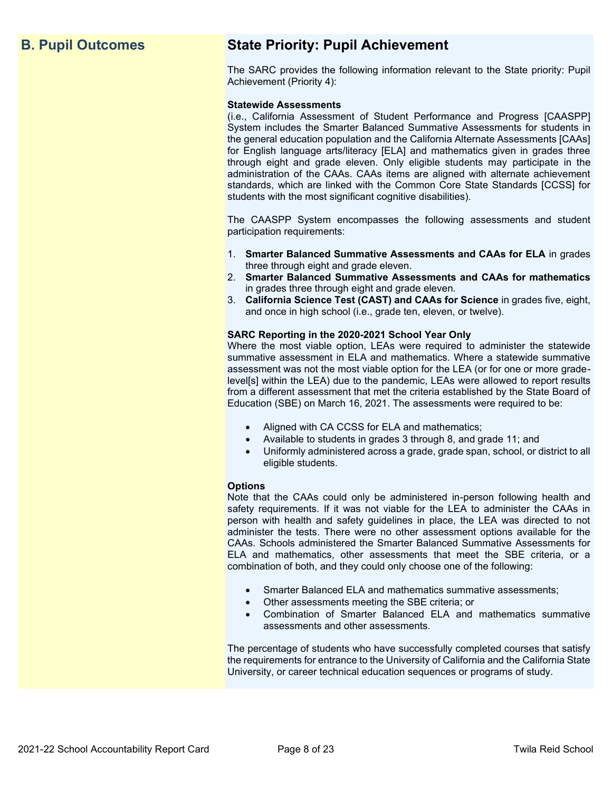# **B. Pupil Outcomes State Priority: Pupil Achievement**

The SARC provides the following information relevant to the State priority: Pupil Achievement (Priority 4):

#### **Statewide Assessments**

(i.e., California Assessment of Student Performance and Progress [CAASPP] System includes the Smarter Balanced Summative Assessments for students in the general education population and the California Alternate Assessments [CAAs] for English language arts/literacy [ELA] and mathematics given in grades three through eight and grade eleven. Only eligible students may participate in the administration of the CAAs. CAAs items are aligned with alternate achievement standards, which are linked with the Common Core State Standards [CCSS] for students with the most significant cognitive disabilities).

The CAASPP System encompasses the following assessments and student participation requirements:

- 1. **Smarter Balanced Summative Assessments and CAAs for ELA** in grades three through eight and grade eleven.
- 2. **Smarter Balanced Summative Assessments and CAAs for mathematics** in grades three through eight and grade eleven.
- 3. **California Science Test (CAST) and CAAs for Science** in grades five, eight, and once in high school (i.e., grade ten, eleven, or twelve).

#### **SARC Reporting in the 2020-2021 School Year Only**

Where the most viable option, LEAs were required to administer the statewide summative assessment in ELA and mathematics. Where a statewide summative assessment was not the most viable option for the LEA (or for one or more gradelevel[s] within the LEA) due to the pandemic, LEAs were allowed to report results from a different assessment that met the criteria established by the State Board of Education (SBE) on March 16, 2021. The assessments were required to be:

- Aligned with CA CCSS for ELA and mathematics;
- Available to students in grades 3 through 8, and grade 11; and
- Uniformly administered across a grade, grade span, school, or district to all eligible students.

#### **Options**

Note that the CAAs could only be administered in-person following health and safety requirements. If it was not viable for the LEA to administer the CAAs in person with health and safety guidelines in place, the LEA was directed to not administer the tests. There were no other assessment options available for the CAAs. Schools administered the Smarter Balanced Summative Assessments for ELA and mathematics, other assessments that meet the SBE criteria, or a combination of both, and they could only choose one of the following:

- Smarter Balanced ELA and mathematics summative assessments;
- Other assessments meeting the SBE criteria; or
- Combination of Smarter Balanced ELA and mathematics summative assessments and other assessments.

The percentage of students who have successfully completed courses that satisfy the requirements for entrance to the University of California and the California State University, or career technical education sequences or programs of study.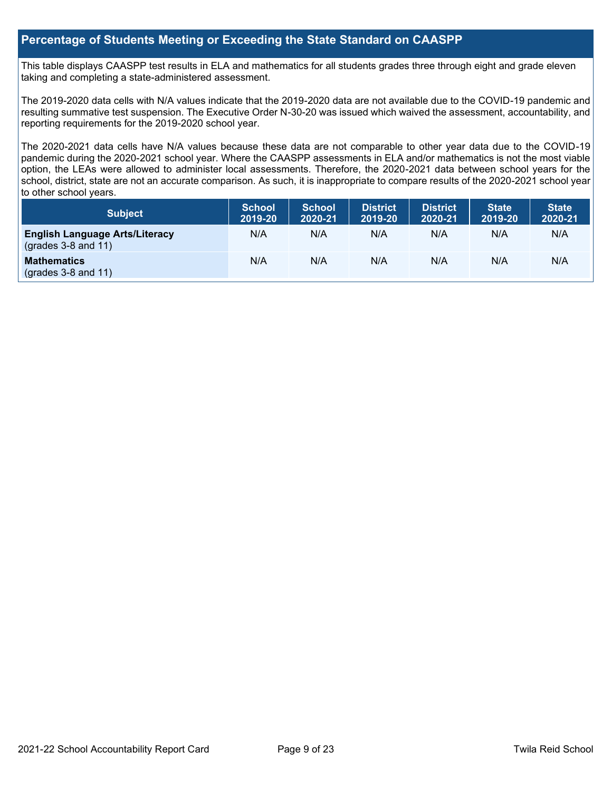# **Percentage of Students Meeting or Exceeding the State Standard on CAASPP**

This table displays CAASPP test results in ELA and mathematics for all students grades three through eight and grade eleven taking and completing a state-administered assessment.

The 2019-2020 data cells with N/A values indicate that the 2019-2020 data are not available due to the COVID-19 pandemic and resulting summative test suspension. The Executive Order N-30-20 was issued which waived the assessment, accountability, and reporting requirements for the 2019-2020 school year.

The 2020-2021 data cells have N/A values because these data are not comparable to other year data due to the COVID-19 pandemic during the 2020-2021 school year. Where the CAASPP assessments in ELA and/or mathematics is not the most viable option, the LEAs were allowed to administer local assessments. Therefore, the 2020-2021 data between school years for the school, district, state are not an accurate comparison. As such, it is inappropriate to compare results of the 2020-2021 school year to other school years.

| Subject                                                              | <b>School</b><br>2019-20 | <b>School</b><br>2020-21 | <b>District</b><br>2019-20 | <b>District</b><br>2020-21 | <b>State</b><br>2019-20 | <b>State</b><br>2020-21 |
|----------------------------------------------------------------------|--------------------------|--------------------------|----------------------------|----------------------------|-------------------------|-------------------------|
| <b>English Language Arts/Literacy</b><br>$\left($ grades 3-8 and 11) | N/A                      | N/A                      | N/A                        | N/A                        | N/A                     | N/A                     |
| <b>Mathematics</b><br>$(grades 3-8 and 11)$                          | N/A                      | N/A                      | N/A                        | N/A                        | N/A                     | N/A                     |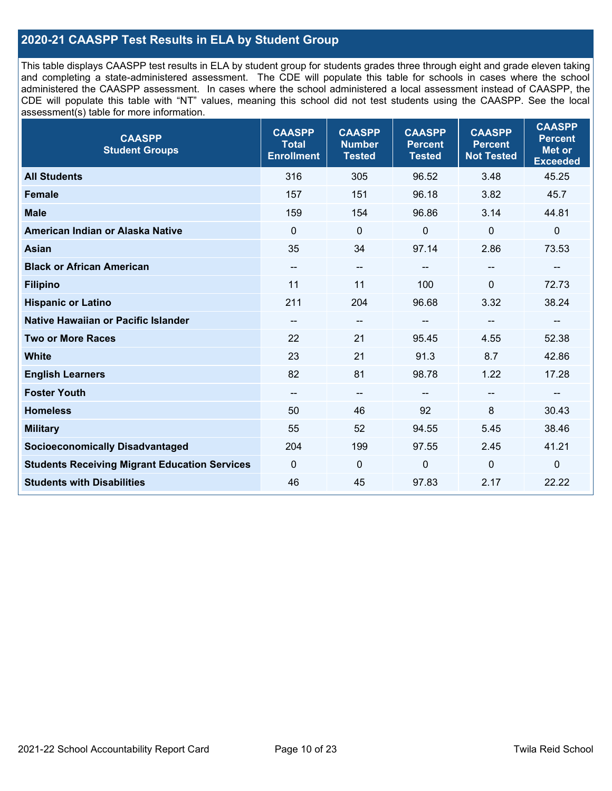# **2020-21 CAASPP Test Results in ELA by Student Group**

This table displays CAASPP test results in ELA by student group for students grades three through eight and grade eleven taking and completing a state-administered assessment. The CDE will populate this table for schools in cases where the school administered the CAASPP assessment. In cases where the school administered a local assessment instead of CAASPP, the CDE will populate this table with "NT" values, meaning this school did not test students using the CAASPP. See the local assessment(s) table for more information.

| <b>CAASPP</b><br><b>Student Groups</b>               | <b>CAASPP</b><br><b>Total</b><br><b>Enrollment</b> | <b>CAASPP</b><br><b>Number</b><br><b>Tested</b> | <b>CAASPP</b><br><b>Percent</b><br><b>Tested</b> | <b>CAASPP</b><br><b>Percent</b><br><b>Not Tested</b> | <b>CAASPP</b><br><b>Percent</b><br><b>Met or</b><br><b>Exceeded</b> |
|------------------------------------------------------|----------------------------------------------------|-------------------------------------------------|--------------------------------------------------|------------------------------------------------------|---------------------------------------------------------------------|
| <b>All Students</b>                                  | 316                                                | 305                                             | 96.52                                            | 3.48                                                 | 45.25                                                               |
| <b>Female</b>                                        | 157                                                | 151                                             | 96.18                                            | 3.82                                                 | 45.7                                                                |
| <b>Male</b>                                          | 159                                                | 154                                             | 96.86                                            | 3.14                                                 | 44.81                                                               |
| American Indian or Alaska Native                     | $\Omega$                                           | $\mathbf 0$                                     | 0                                                | 0                                                    | $\mathbf 0$                                                         |
| <b>Asian</b>                                         | 35                                                 | 34                                              | 97.14                                            | 2.86                                                 | 73.53                                                               |
| <b>Black or African American</b>                     | $\overline{\phantom{a}}$                           | --                                              | --                                               | $\overline{\phantom{m}}$                             | --                                                                  |
| <b>Filipino</b>                                      | 11                                                 | 11                                              | 100                                              | $\Omega$                                             | 72.73                                                               |
| <b>Hispanic or Latino</b>                            | 211                                                | 204                                             | 96.68                                            | 3.32                                                 | 38.24                                                               |
| <b>Native Hawaiian or Pacific Islander</b>           | --                                                 | $\overline{\phantom{m}}$                        | --                                               | --                                                   | --                                                                  |
| <b>Two or More Races</b>                             | 22                                                 | 21                                              | 95.45                                            | 4.55                                                 | 52.38                                                               |
| <b>White</b>                                         | 23                                                 | 21                                              | 91.3                                             | 8.7                                                  | 42.86                                                               |
| <b>English Learners</b>                              | 82                                                 | 81                                              | 98.78                                            | 1.22                                                 | 17.28                                                               |
| <b>Foster Youth</b>                                  | $\overline{\phantom{a}}$                           | $\overline{\phantom{m}}$                        | --                                               |                                                      | --                                                                  |
| <b>Homeless</b>                                      | 50                                                 | 46                                              | 92                                               | 8                                                    | 30.43                                                               |
| <b>Military</b>                                      | 55                                                 | 52                                              | 94.55                                            | 5.45                                                 | 38.46                                                               |
| <b>Socioeconomically Disadvantaged</b>               | 204                                                | 199                                             | 97.55                                            | 2.45                                                 | 41.21                                                               |
| <b>Students Receiving Migrant Education Services</b> | $\Omega$                                           | $\mathbf 0$                                     | $\Omega$                                         | $\Omega$                                             | $\mathbf 0$                                                         |
| <b>Students with Disabilities</b>                    | 46                                                 | 45                                              | 97.83                                            | 2.17                                                 | 22.22                                                               |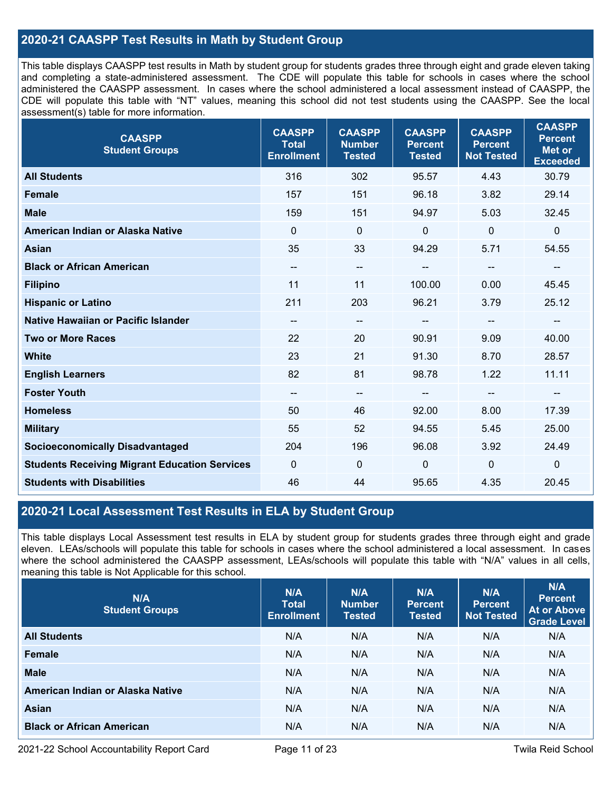# **2020-21 CAASPP Test Results in Math by Student Group**

This table displays CAASPP test results in Math by student group for students grades three through eight and grade eleven taking and completing a state-administered assessment. The CDE will populate this table for schools in cases where the school administered the CAASPP assessment. In cases where the school administered a local assessment instead of CAASPP, the CDE will populate this table with "NT" values, meaning this school did not test students using the CAASPP. See the local assessment(s) table for more information.

| <b>CAASPP</b><br><b>Student Groups</b>               | <b>CAASPP</b><br><b>Total</b><br><b>Enrollment</b> | <b>CAASPP</b><br><b>Number</b><br><b>Tested</b> | <b>CAASPP</b><br><b>Percent</b><br><b>Tested</b> | <b>CAASPP</b><br><b>Percent</b><br><b>Not Tested</b> | <b>CAASPP</b><br><b>Percent</b><br><b>Met or</b><br><b>Exceeded</b> |
|------------------------------------------------------|----------------------------------------------------|-------------------------------------------------|--------------------------------------------------|------------------------------------------------------|---------------------------------------------------------------------|
| <b>All Students</b>                                  | 316                                                | 302                                             | 95.57                                            | 4.43                                                 | 30.79                                                               |
| <b>Female</b>                                        | 157                                                | 151                                             | 96.18                                            | 3.82                                                 | 29.14                                                               |
| <b>Male</b>                                          | 159                                                | 151                                             | 94.97                                            | 5.03                                                 | 32.45                                                               |
| American Indian or Alaska Native                     | $\mathbf{0}$                                       | $\overline{0}$                                  | 0                                                | $\mathbf 0$                                          | $\boldsymbol{0}$                                                    |
| <b>Asian</b>                                         | 35                                                 | 33                                              | 94.29                                            | 5.71                                                 | 54.55                                                               |
| <b>Black or African American</b>                     | $\overline{\phantom{a}}$                           | --                                              | --                                               | $-$                                                  | --                                                                  |
| <b>Filipino</b>                                      | 11                                                 | 11                                              | 100.00                                           | 0.00                                                 | 45.45                                                               |
| <b>Hispanic or Latino</b>                            | 211                                                | 203                                             | 96.21                                            | 3.79                                                 | 25.12                                                               |
| Native Hawaiian or Pacific Islander                  | --                                                 | $-$                                             | $\overline{\phantom{a}}$                         | --                                                   | $\overline{\phantom{a}}$                                            |
| <b>Two or More Races</b>                             | 22                                                 | 20                                              | 90.91                                            | 9.09                                                 | 40.00                                                               |
| <b>White</b>                                         | 23                                                 | 21                                              | 91.30                                            | 8.70                                                 | 28.57                                                               |
| <b>English Learners</b>                              | 82                                                 | 81                                              | 98.78                                            | 1.22                                                 | 11.11                                                               |
| <b>Foster Youth</b>                                  | --                                                 | $\overline{\phantom{a}}$                        |                                                  | --                                                   | --                                                                  |
| <b>Homeless</b>                                      | 50                                                 | 46                                              | 92.00                                            | 8.00                                                 | 17.39                                                               |
| <b>Military</b>                                      | 55                                                 | 52                                              | 94.55                                            | 5.45                                                 | 25.00                                                               |
| <b>Socioeconomically Disadvantaged</b>               | 204                                                | 196                                             | 96.08                                            | 3.92                                                 | 24.49                                                               |
| <b>Students Receiving Migrant Education Services</b> | $\mathbf{0}$                                       | 0                                               | 0                                                | $\mathbf{0}$                                         | $\boldsymbol{0}$                                                    |
| <b>Students with Disabilities</b>                    | 46                                                 | 44                                              | 95.65                                            | 4.35                                                 | 20.45                                                               |

# **2020-21 Local Assessment Test Results in ELA by Student Group**

This table displays Local Assessment test results in ELA by student group for students grades three through eight and grade eleven. LEAs/schools will populate this table for schools in cases where the school administered a local assessment. In cases where the school administered the CAASPP assessment, LEAs/schools will populate this table with "N/A" values in all cells, meaning this table is Not Applicable for this school.

| N/A<br><b>Student Groups</b>     | N/A<br><b>Total</b><br><b>Enrollment</b> | N/A<br><b>Number</b><br><b>Tested</b> | N/A<br><b>Percent</b><br><b>Tested</b> | N/A<br><b>Percent</b><br><b>Not Tested</b> | N/A<br><b>Percent</b><br>At or Above<br><b>Grade Level</b> |
|----------------------------------|------------------------------------------|---------------------------------------|----------------------------------------|--------------------------------------------|------------------------------------------------------------|
| <b>All Students</b>              | N/A                                      | N/A                                   | N/A                                    | N/A                                        | N/A                                                        |
| <b>Female</b>                    | N/A                                      | N/A                                   | N/A                                    | N/A                                        | N/A                                                        |
| <b>Male</b>                      | N/A                                      | N/A                                   | N/A                                    | N/A                                        | N/A                                                        |
| American Indian or Alaska Native | N/A                                      | N/A                                   | N/A                                    | N/A                                        | N/A                                                        |
| Asian                            | N/A                                      | N/A                                   | N/A                                    | N/A                                        | N/A                                                        |
| <b>Black or African American</b> | N/A                                      | N/A                                   | N/A                                    | N/A                                        | N/A                                                        |

2021-22 School Accountability Report Card Page 11 of 23 Twila Reid School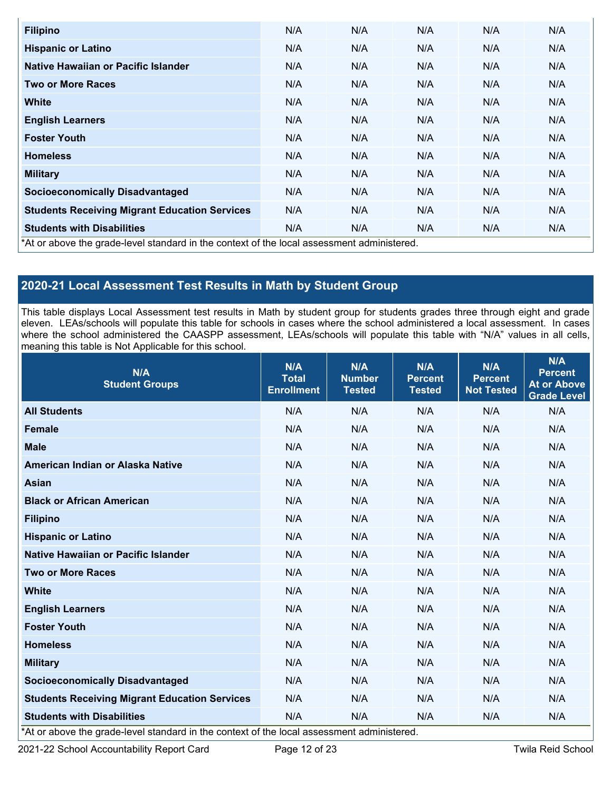| <b>Filipino</b>                                                                            | N/A | N/A | N/A | N/A | N/A |
|--------------------------------------------------------------------------------------------|-----|-----|-----|-----|-----|
| <b>Hispanic or Latino</b>                                                                  | N/A | N/A | N/A | N/A | N/A |
| Native Hawaiian or Pacific Islander                                                        | N/A | N/A | N/A | N/A | N/A |
| <b>Two or More Races</b>                                                                   | N/A | N/A | N/A | N/A | N/A |
| <b>White</b>                                                                               | N/A | N/A | N/A | N/A | N/A |
| <b>English Learners</b>                                                                    | N/A | N/A | N/A | N/A | N/A |
| <b>Foster Youth</b>                                                                        | N/A | N/A | N/A | N/A | N/A |
| <b>Homeless</b>                                                                            | N/A | N/A | N/A | N/A | N/A |
| <b>Military</b>                                                                            | N/A | N/A | N/A | N/A | N/A |
| <b>Socioeconomically Disadvantaged</b>                                                     | N/A | N/A | N/A | N/A | N/A |
| <b>Students Receiving Migrant Education Services</b>                                       | N/A | N/A | N/A | N/A | N/A |
| <b>Students with Disabilities</b>                                                          | N/A | N/A | N/A | N/A | N/A |
| *At or above the grade-level standard in the context of the local assessment administered. |     |     |     |     |     |

# **2020-21 Local Assessment Test Results in Math by Student Group**

This table displays Local Assessment test results in Math by student group for students grades three through eight and grade eleven. LEAs/schools will populate this table for schools in cases where the school administered a local assessment. In cases where the school administered the CAASPP assessment, LEAs/schools will populate this table with "N/A" values in all cells, meaning this table is Not Applicable for this school.

| N/A<br><b>Student Groups</b>                         | N/A<br><b>Total</b><br><b>Enrollment</b> | N/A<br><b>Number</b><br><b>Tested</b> | N/A<br><b>Percent</b><br><b>Tested</b> | N/A<br><b>Percent</b><br><b>Not Tested</b> | N/A<br><b>Percent</b><br><b>At or Above</b><br><b>Grade Level</b> |
|------------------------------------------------------|------------------------------------------|---------------------------------------|----------------------------------------|--------------------------------------------|-------------------------------------------------------------------|
| <b>All Students</b>                                  | N/A                                      | N/A                                   | N/A                                    | N/A                                        | N/A                                                               |
| <b>Female</b>                                        | N/A                                      | N/A                                   | N/A                                    | N/A                                        | N/A                                                               |
| <b>Male</b>                                          | N/A                                      | N/A                                   | N/A                                    | N/A                                        | N/A                                                               |
| American Indian or Alaska Native                     | N/A                                      | N/A                                   | N/A                                    | N/A                                        | N/A                                                               |
| <b>Asian</b>                                         | N/A                                      | N/A                                   | N/A                                    | N/A                                        | N/A                                                               |
| <b>Black or African American</b>                     | N/A                                      | N/A                                   | N/A                                    | N/A                                        | N/A                                                               |
| <b>Filipino</b>                                      | N/A                                      | N/A                                   | N/A                                    | N/A                                        | N/A                                                               |
| <b>Hispanic or Latino</b>                            | N/A                                      | N/A                                   | N/A                                    | N/A                                        | N/A                                                               |
| Native Hawaiian or Pacific Islander                  | N/A                                      | N/A                                   | N/A                                    | N/A                                        | N/A                                                               |
| <b>Two or More Races</b>                             | N/A                                      | N/A                                   | N/A                                    | N/A                                        | N/A                                                               |
| <b>White</b>                                         | N/A                                      | N/A                                   | N/A                                    | N/A                                        | N/A                                                               |
| <b>English Learners</b>                              | N/A                                      | N/A                                   | N/A                                    | N/A                                        | N/A                                                               |
| <b>Foster Youth</b>                                  | N/A                                      | N/A                                   | N/A                                    | N/A                                        | N/A                                                               |
| <b>Homeless</b>                                      | N/A                                      | N/A                                   | N/A                                    | N/A                                        | N/A                                                               |
| <b>Military</b>                                      | N/A                                      | N/A                                   | N/A                                    | N/A                                        | N/A                                                               |
| <b>Socioeconomically Disadvantaged</b>               | N/A                                      | N/A                                   | N/A                                    | N/A                                        | N/A                                                               |
| <b>Students Receiving Migrant Education Services</b> | N/A                                      | N/A                                   | N/A                                    | N/A                                        | N/A                                                               |
| <b>Students with Disabilities</b>                    | N/A                                      | N/A                                   | N/A                                    | N/A                                        | N/A                                                               |

\*At or above the grade-level standard in the context of the local assessment administered.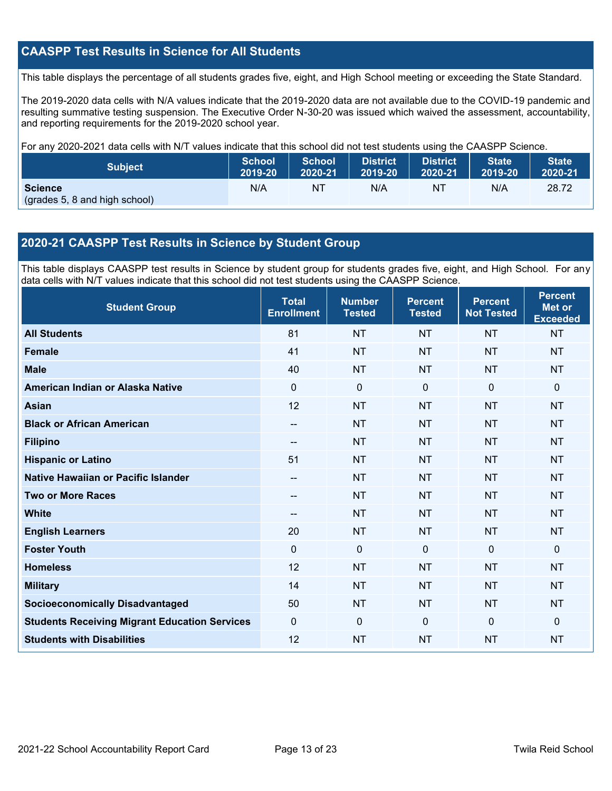# **CAASPP Test Results in Science for All Students**

This table displays the percentage of all students grades five, eight, and High School meeting or exceeding the State Standard.

The 2019-2020 data cells with N/A values indicate that the 2019-2020 data are not available due to the COVID-19 pandemic and resulting summative testing suspension. The Executive Order N-30-20 was issued which waived the assessment, accountability, and reporting requirements for the 2019-2020 school year.

For any 2020-2021 data cells with N/T values indicate that this school did not test students using the CAASPP Science.

| <b>Subject</b>                                  | <b>School</b> | <b>School</b> | <b>District</b> | District | State   | <b>State</b> |
|-------------------------------------------------|---------------|---------------|-----------------|----------|---------|--------------|
|                                                 | 2019-20       | 2020-21       | 2019-20         | 2020-21  | 2019-20 | 2020-21      |
| <b>Science</b><br>(grades 5, 8 and high school) | N/A           | ΝT            | N/A             | N1       | N/A     | 28.72        |

# **2020-21 CAASPP Test Results in Science by Student Group**

This table displays CAASPP test results in Science by student group for students grades five, eight, and High School. For any data cells with N/T values indicate that this school did not test students using the CAASPP Science.

| <b>Student Group</b>                                 | <b>Total</b><br><b>Enrollment</b> | <b>Number</b><br><b>Tested</b> | <b>Percent</b><br><b>Tested</b> | <b>Percent</b><br><b>Not Tested</b> | <b>Percent</b><br><b>Met or</b><br><b>Exceeded</b> |
|------------------------------------------------------|-----------------------------------|--------------------------------|---------------------------------|-------------------------------------|----------------------------------------------------|
| <b>All Students</b>                                  | 81                                | <b>NT</b>                      | <b>NT</b>                       | <b>NT</b>                           | <b>NT</b>                                          |
| <b>Female</b>                                        | 41                                | <b>NT</b>                      | <b>NT</b>                       | <b>NT</b>                           | <b>NT</b>                                          |
| <b>Male</b>                                          | 40                                | <b>NT</b>                      | <b>NT</b>                       | <b>NT</b>                           | <b>NT</b>                                          |
| American Indian or Alaska Native                     | $\Omega$                          | $\mathbf 0$                    | $\mathbf 0$                     | $\mathbf{0}$                        | $\mathbf{0}$                                       |
| <b>Asian</b>                                         | 12                                | <b>NT</b>                      | <b>NT</b>                       | <b>NT</b>                           | <b>NT</b>                                          |
| <b>Black or African American</b>                     | $\qquad \qquad -$                 | <b>NT</b>                      | <b>NT</b>                       | <b>NT</b>                           | <b>NT</b>                                          |
| <b>Filipino</b>                                      | $-$                               | <b>NT</b>                      | <b>NT</b>                       | <b>NT</b>                           | <b>NT</b>                                          |
| <b>Hispanic or Latino</b>                            | 51                                | <b>NT</b>                      | <b>NT</b>                       | <b>NT</b>                           | <b>NT</b>                                          |
| <b>Native Hawaiian or Pacific Islander</b>           | --                                | <b>NT</b>                      | <b>NT</b>                       | <b>NT</b>                           | <b>NT</b>                                          |
| <b>Two or More Races</b>                             | --                                | <b>NT</b>                      | <b>NT</b>                       | <b>NT</b>                           | <b>NT</b>                                          |
| <b>White</b>                                         | $\sim$                            | <b>NT</b>                      | <b>NT</b>                       | <b>NT</b>                           | <b>NT</b>                                          |
| <b>English Learners</b>                              | 20                                | <b>NT</b>                      | <b>NT</b>                       | <b>NT</b>                           | <b>NT</b>                                          |
| <b>Foster Youth</b>                                  | $\mathbf 0$                       | $\mathbf 0$                    | $\mathbf 0$                     | $\mathbf 0$                         | $\mathbf{0}$                                       |
| <b>Homeless</b>                                      | 12                                | <b>NT</b>                      | <b>NT</b>                       | <b>NT</b>                           | <b>NT</b>                                          |
| <b>Military</b>                                      | 14                                | <b>NT</b>                      | <b>NT</b>                       | <b>NT</b>                           | <b>NT</b>                                          |
| <b>Socioeconomically Disadvantaged</b>               | 50                                | <b>NT</b>                      | <b>NT</b>                       | <b>NT</b>                           | <b>NT</b>                                          |
| <b>Students Receiving Migrant Education Services</b> | $\mathbf 0$                       | $\mathbf 0$                    | $\mathbf{0}$                    | $\mathbf{0}$                        | $\mathbf{0}$                                       |
| <b>Students with Disabilities</b>                    | 12                                | <b>NT</b>                      | <b>NT</b>                       | <b>NT</b>                           | <b>NT</b>                                          |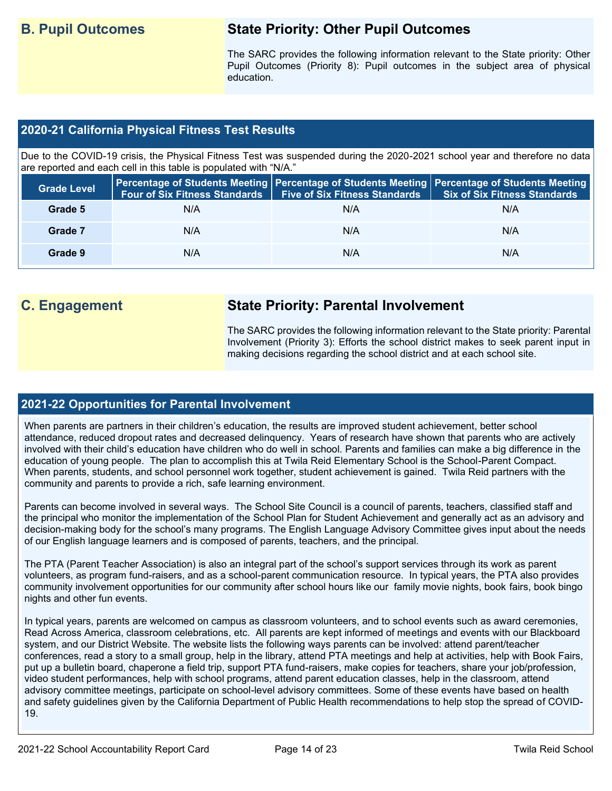# **B. Pupil Outcomes State Priority: Other Pupil Outcomes**

The SARC provides the following information relevant to the State priority: Other Pupil Outcomes (Priority 8): Pupil outcomes in the subject area of physical education.

# **2020-21 California Physical Fitness Test Results**

Due to the COVID-19 crisis, the Physical Fitness Test was suspended during the 2020-2021 school year and therefore no data are reported and each cell in this table is populated with "N/A."

| <b>Grade Level</b> | <b>Four of Six Fitness Standards</b> | <b>Five of Six Fitness Standards</b> | Percentage of Students Meeting   Percentage of Students Meeting   Percentage of Students Meeting  <br><b>Six of Six Fitness Standards</b> |
|--------------------|--------------------------------------|--------------------------------------|-------------------------------------------------------------------------------------------------------------------------------------------|
| Grade 5            | N/A                                  | N/A                                  | N/A                                                                                                                                       |
| Grade 7            | N/A                                  | N/A                                  | N/A                                                                                                                                       |
| Grade 9            | N/A                                  | N/A                                  | N/A                                                                                                                                       |

# **C. Engagement State Priority: Parental Involvement**

The SARC provides the following information relevant to the State priority: Parental Involvement (Priority 3): Efforts the school district makes to seek parent input in making decisions regarding the school district and at each school site.

## **2021-22 Opportunities for Parental Involvement**

When parents are partners in their children's education, the results are improved student achievement, better school attendance, reduced dropout rates and decreased delinquency. Years of research have shown that parents who are actively involved with their child's education have children who do well in school. Parents and families can make a big difference in the education of young people. The plan to accomplish this at Twila Reid Elementary School is the School-Parent Compact. When parents, students, and school personnel work together, student achievement is gained. Twila Reid partners with the community and parents to provide a rich, safe learning environment.

Parents can become involved in several ways. The School Site Council is a council of parents, teachers, classified staff and the principal who monitor the implementation of the School Plan for Student Achievement and generally act as an advisory and decision-making body for the school's many programs. The English Language Advisory Committee gives input about the needs of our English language learners and is composed of parents, teachers, and the principal.

The PTA (Parent Teacher Association) is also an integral part of the school's support services through its work as parent volunteers, as program fund-raisers, and as a school-parent communication resource. In typical years, the PTA also provides community involvement opportunities for our community after school hours like our family movie nights, book fairs, book bingo nights and other fun events.

In typical years, parents are welcomed on campus as classroom volunteers, and to school events such as award ceremonies, Read Across America, classroom celebrations, etc. All parents are kept informed of meetings and events with our Blackboard system, and our District Website. The website lists the following ways parents can be involved: attend parent/teacher conferences, read a story to a small group, help in the library, attend PTA meetings and help at activities, help with Book Fairs, put up a bulletin board, chaperone a field trip, support PTA fund-raisers, make copies for teachers, share your job/profession, video student performances, help with school programs, attend parent education classes, help in the classroom, attend advisory committee meetings, participate on school-level advisory committees. Some of these events have based on health and safety guidelines given by the California Department of Public Health recommendations to help stop the spread of COVID-19.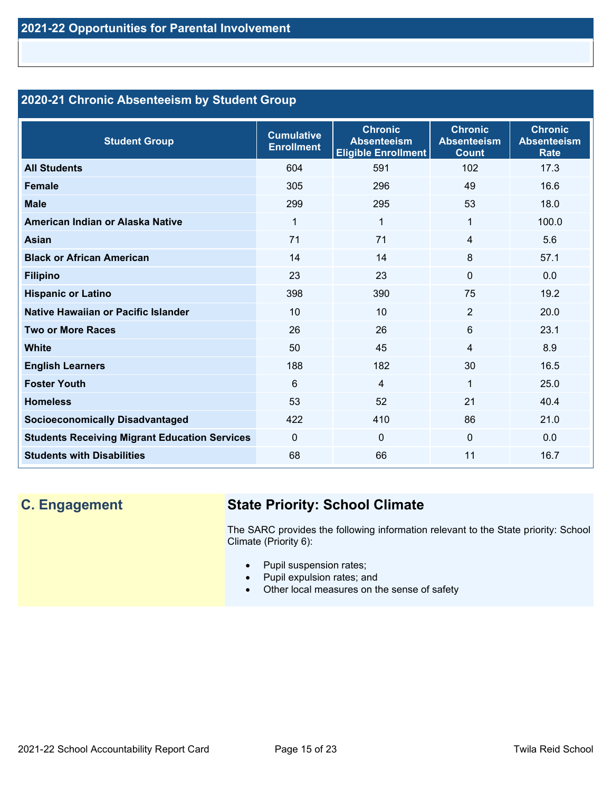# **2020-21 Chronic Absenteeism by Student Group**

| <b>Student Group</b>                                 | <b>Cumulative</b><br><b>Enrollment</b> | <b>Chronic</b><br><b>Absenteeism</b><br><b>Eligible Enrollment</b> | <b>Chronic</b><br><b>Absenteeism</b><br><b>Count</b> | <b>Chronic</b><br><b>Absenteeism</b><br><b>Rate</b> |
|------------------------------------------------------|----------------------------------------|--------------------------------------------------------------------|------------------------------------------------------|-----------------------------------------------------|
| <b>All Students</b>                                  | 604                                    | 591                                                                | 102                                                  | 17.3                                                |
| <b>Female</b>                                        | 305                                    | 296                                                                | 49                                                   | 16.6                                                |
| <b>Male</b>                                          | 299                                    | 295                                                                | 53                                                   | 18.0                                                |
| American Indian or Alaska Native                     | 1                                      | 1                                                                  | $\mathbf{1}$                                         | 100.0                                               |
| <b>Asian</b>                                         | 71                                     | 71                                                                 | 4                                                    | 5.6                                                 |
| <b>Black or African American</b>                     | 14                                     | 14                                                                 | 8                                                    | 57.1                                                |
| <b>Filipino</b>                                      | 23                                     | 23                                                                 | $\mathbf{0}$                                         | 0.0                                                 |
| <b>Hispanic or Latino</b>                            | 398                                    | 390                                                                | 75                                                   | 19.2                                                |
| Native Hawaiian or Pacific Islander                  | 10                                     | 10                                                                 | $\overline{2}$                                       | 20.0                                                |
| <b>Two or More Races</b>                             | 26                                     | 26                                                                 | 6                                                    | 23.1                                                |
| <b>White</b>                                         | 50                                     | 45                                                                 | 4                                                    | 8.9                                                 |
| <b>English Learners</b>                              | 188                                    | 182                                                                | 30                                                   | 16.5                                                |
| <b>Foster Youth</b>                                  | 6                                      | $\overline{4}$                                                     | $\mathbf 1$                                          | 25.0                                                |
| <b>Homeless</b>                                      | 53                                     | 52                                                                 | 21                                                   | 40.4                                                |
| <b>Socioeconomically Disadvantaged</b>               | 422                                    | 410                                                                | 86                                                   | 21.0                                                |
| <b>Students Receiving Migrant Education Services</b> | $\Omega$                               | $\mathbf 0$                                                        | $\Omega$                                             | 0.0                                                 |
| <b>Students with Disabilities</b>                    | 68                                     | 66                                                                 | 11                                                   | 16.7                                                |

# **C. Engagement State Priority: School Climate**

The SARC provides the following information relevant to the State priority: School Climate (Priority 6):

- Pupil suspension rates;
- Pupil expulsion rates; and
- Other local measures on the sense of safety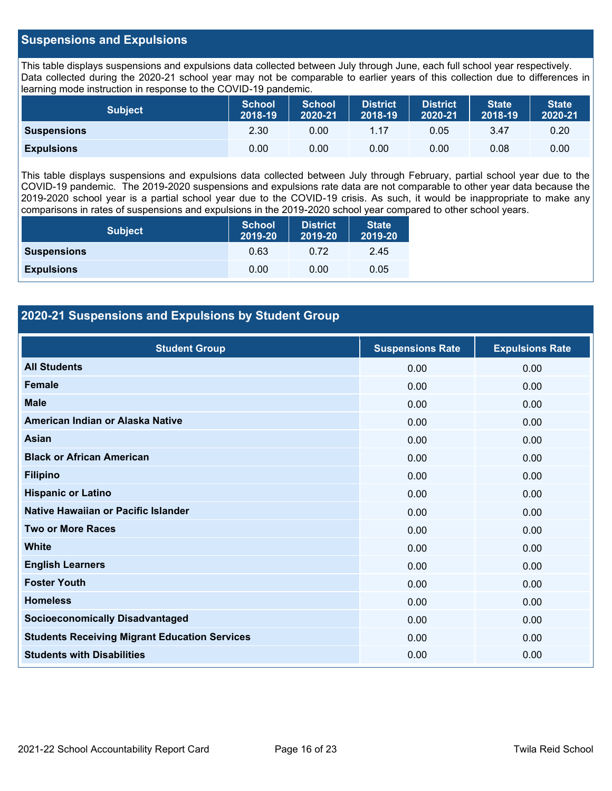# **Suspensions and Expulsions**

This table displays suspensions and expulsions data collected between July through June, each full school year respectively. Data collected during the 2020-21 school year may not be comparable to earlier years of this collection due to differences in learning mode instruction in response to the COVID-19 pandemic.

| <b>Subject</b>     | <b>School</b><br>2018-19 | <b>School</b><br>2020-21 | <b>District</b><br>2018-19 | <b>District</b><br>2020-21 | <b>State</b><br>2018-19 | <b>State</b><br>2020-21 |
|--------------------|--------------------------|--------------------------|----------------------------|----------------------------|-------------------------|-------------------------|
| <b>Suspensions</b> | 2.30                     | 0.00                     | 1.17                       | 0.05                       | 3.47                    | 0.20                    |
| <b>Expulsions</b>  | 0.00                     | 0.00                     | 0.00                       | 0.00                       | 0.08                    | 0.00                    |

This table displays suspensions and expulsions data collected between July through February, partial school year due to the COVID-19 pandemic. The 2019-2020 suspensions and expulsions rate data are not comparable to other year data because the 2019-2020 school year is a partial school year due to the COVID-19 crisis. As such, it would be inappropriate to make any comparisons in rates of suspensions and expulsions in the 2019-2020 school year compared to other school years.

| <b>Subject</b>     | <b>School</b><br>2019-20 | <b>District</b><br>2019-20 | <b>State</b><br>2019-20 |
|--------------------|--------------------------|----------------------------|-------------------------|
| <b>Suspensions</b> | 0.63                     | 0.72                       | 2.45                    |
| <b>Expulsions</b>  | 0.00                     | 0.00                       | 0.05                    |

# **2020-21 Suspensions and Expulsions by Student Group**

| <b>Student Group</b>                                 | <b>Suspensions Rate</b> | <b>Expulsions Rate</b> |
|------------------------------------------------------|-------------------------|------------------------|
| <b>All Students</b>                                  | 0.00                    | 0.00                   |
| <b>Female</b>                                        | 0.00                    | 0.00                   |
| <b>Male</b>                                          | 0.00                    | 0.00                   |
| American Indian or Alaska Native                     | 0.00                    | 0.00                   |
| <b>Asian</b>                                         | 0.00                    | 0.00                   |
| <b>Black or African American</b>                     | 0.00                    | 0.00                   |
| <b>Filipino</b>                                      | 0.00                    | 0.00                   |
| <b>Hispanic or Latino</b>                            | 0.00                    | 0.00                   |
| Native Hawaiian or Pacific Islander                  | 0.00                    | 0.00                   |
| <b>Two or More Races</b>                             | 0.00                    | 0.00                   |
| <b>White</b>                                         | 0.00                    | 0.00                   |
| <b>English Learners</b>                              | 0.00                    | 0.00                   |
| <b>Foster Youth</b>                                  | 0.00                    | 0.00                   |
| <b>Homeless</b>                                      | 0.00                    | 0.00                   |
| <b>Socioeconomically Disadvantaged</b>               | 0.00                    | 0.00                   |
| <b>Students Receiving Migrant Education Services</b> | 0.00                    | 0.00                   |
| <b>Students with Disabilities</b>                    | 0.00                    | 0.00                   |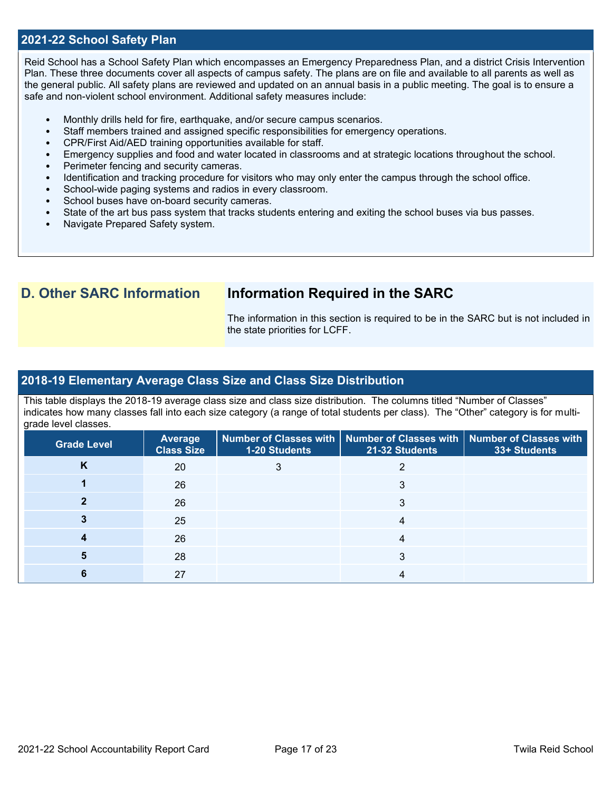# **2021-22 School Safety Plan**

Reid School has a School Safety Plan which encompasses an Emergency Preparedness Plan, and a district Crisis Intervention Plan. These three documents cover all aspects of campus safety. The plans are on file and available to all parents as well as the general public. All safety plans are reviewed and updated on an annual basis in a public meeting. The goal is to ensure a safe and non-violent school environment. Additional safety measures include:

- Monthly drills held for fire, earthquake, and/or secure campus scenarios.
- Staff members trained and assigned specific responsibilities for emergency operations.
- CPR/First Aid/AED training opportunities available for staff.
- Emergency supplies and food and water located in classrooms and at strategic locations throughout the school.
- Perimeter fencing and security cameras.
- Identification and tracking procedure for visitors who may only enter the campus through the school office.
- School-wide paging systems and radios in every classroom.
- School buses have on-board security cameras.
- State of the art bus pass system that tracks students entering and exiting the school buses via bus passes.
- Navigate Prepared Safety system.

# **D. Other SARC Information Information Required in the SARC**

The information in this section is required to be in the SARC but is not included in the state priorities for LCFF.

## **2018-19 Elementary Average Class Size and Class Size Distribution**

This table displays the 2018-19 average class size and class size distribution. The columns titled "Number of Classes" indicates how many classes fall into each size category (a range of total students per class). The "Other" category is for multigrade level classes.

| <b>Grade Level</b> | <b>Average</b><br><b>Class Size</b> | <b>1-20 Students</b> | Number of Classes with   Number of Classes with   Number of Classes with<br>21-32 Students | 33+ Students |
|--------------------|-------------------------------------|----------------------|--------------------------------------------------------------------------------------------|--------------|
| Κ                  | 20                                  |                      |                                                                                            |              |
|                    | 26                                  |                      |                                                                                            |              |
|                    | 26                                  |                      | 3                                                                                          |              |
|                    | 25                                  |                      |                                                                                            |              |
|                    | 26                                  |                      |                                                                                            |              |
|                    | 28                                  |                      |                                                                                            |              |
|                    | 27                                  |                      |                                                                                            |              |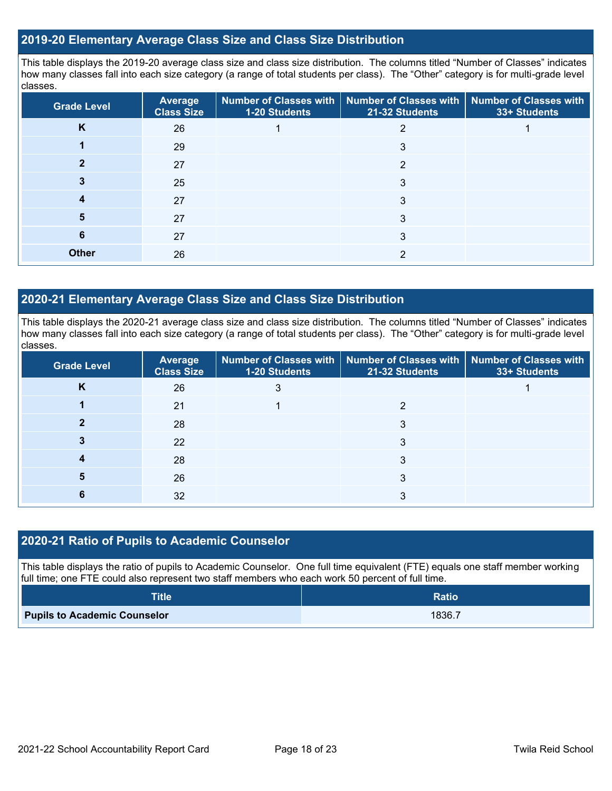# **2019-20 Elementary Average Class Size and Class Size Distribution**

This table displays the 2019-20 average class size and class size distribution. The columns titled "Number of Classes" indicates how many classes fall into each size category (a range of total students per class). The "Other" category is for multi-grade level classes.

| <b>Grade Level</b> | <b>Average</b><br><b>Class Size</b> | 1-20 Students | Number of Classes with   Number of Classes with   Number of Classes with<br>21-32 Students | 33+ Students |
|--------------------|-------------------------------------|---------------|--------------------------------------------------------------------------------------------|--------------|
| K                  | 26                                  |               |                                                                                            |              |
|                    | 29                                  |               | 3                                                                                          |              |
|                    | 27                                  |               | 2                                                                                          |              |
|                    | 25                                  |               | 3                                                                                          |              |
| 4                  | 27                                  |               | 3                                                                                          |              |
| 5                  | 27                                  |               | 3                                                                                          |              |
| 6                  | 27                                  |               | 3                                                                                          |              |
| <b>Other</b>       | 26                                  |               | 2                                                                                          |              |

# **2020-21 Elementary Average Class Size and Class Size Distribution**

This table displays the 2020-21 average class size and class size distribution. The columns titled "Number of Classes" indicates how many classes fall into each size category (a range of total students per class). The "Other" category is for multi-grade level classes.

| <b>Grade Level</b> | <b>Average</b><br><b>Class Size</b> | 1-20 Students | Number of Classes with   Number of Classes with   Number of Classes with<br>21-32 Students | 33+ Students |
|--------------------|-------------------------------------|---------------|--------------------------------------------------------------------------------------------|--------------|
| <b>N</b>           | 26                                  | 3             |                                                                                            |              |
|                    | 21                                  |               |                                                                                            |              |
|                    | 28                                  |               | 3                                                                                          |              |
|                    | 22                                  |               | 3                                                                                          |              |
|                    | 28                                  |               | 3                                                                                          |              |
| 5                  | 26                                  |               | 3                                                                                          |              |
|                    | 32                                  |               |                                                                                            |              |

# **2020-21 Ratio of Pupils to Academic Counselor**

This table displays the ratio of pupils to Academic Counselor. One full time equivalent (FTE) equals one staff member working full time; one FTE could also represent two staff members who each work 50 percent of full time.

| <b>Title</b>                        | <b>Ratio</b> |
|-------------------------------------|--------------|
| <b>Pupils to Academic Counselor</b> | 1836.7       |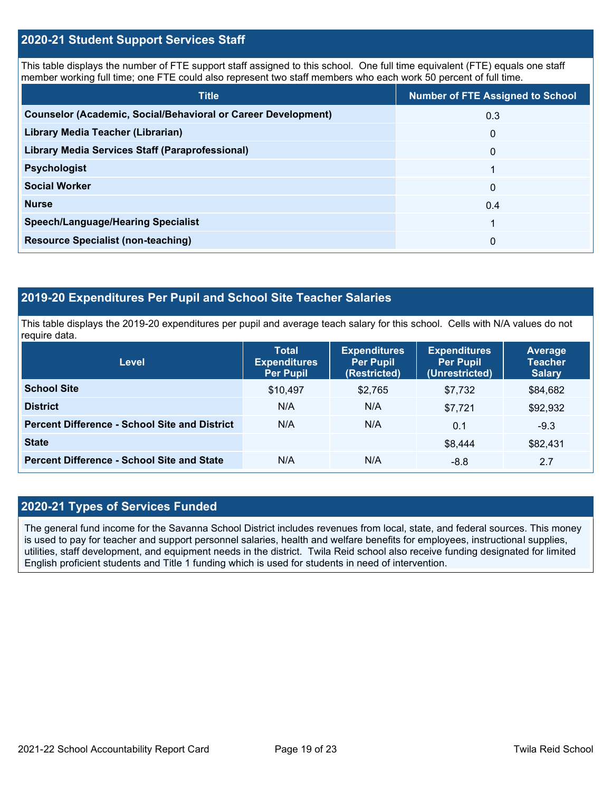# **2020-21 Student Support Services Staff**

This table displays the number of FTE support staff assigned to this school. One full time equivalent (FTE) equals one staff member working full time; one FTE could also represent two staff members who each work 50 percent of full time.

| <b>Title</b>                                                         | <b>Number of FTE Assigned to School</b> |
|----------------------------------------------------------------------|-----------------------------------------|
| <b>Counselor (Academic, Social/Behavioral or Career Development)</b> | 0.3                                     |
| Library Media Teacher (Librarian)                                    | $\mathbf{0}$                            |
| <b>Library Media Services Staff (Paraprofessional)</b>               | $\mathbf{0}$                            |
| <b>Psychologist</b>                                                  | 1                                       |
| <b>Social Worker</b>                                                 | $\mathbf{0}$                            |
| <b>Nurse</b>                                                         | 0.4                                     |
| <b>Speech/Language/Hearing Specialist</b>                            | 1                                       |
| <b>Resource Specialist (non-teaching)</b>                            | $\Omega$                                |

# **2019-20 Expenditures Per Pupil and School Site Teacher Salaries**

This table displays the 2019-20 expenditures per pupil and average teach salary for this school. Cells with N/A values do not require data.

| <b>Level</b>                                         | <b>Total</b><br><b>Expenditures</b><br><b>Per Pupil</b> | <b>Expenditures</b><br><b>Per Pupil</b><br>(Restricted) | <b>Expenditures</b><br><b>Per Pupil</b><br>(Unrestricted) | Average<br><b>Teacher</b><br><b>Salary</b> |
|------------------------------------------------------|---------------------------------------------------------|---------------------------------------------------------|-----------------------------------------------------------|--------------------------------------------|
| <b>School Site</b>                                   | \$10,497                                                | \$2,765                                                 | \$7,732                                                   | \$84,682                                   |
| <b>District</b>                                      | N/A                                                     | N/A                                                     | \$7.721                                                   | \$92,932                                   |
| <b>Percent Difference - School Site and District</b> | N/A                                                     | N/A                                                     | 0.1                                                       | $-9.3$                                     |
| <b>State</b>                                         |                                                         |                                                         | \$8,444                                                   | \$82,431                                   |
| <b>Percent Difference - School Site and State</b>    | N/A                                                     | N/A                                                     | $-8.8$                                                    | 2.7                                        |

# **2020-21 Types of Services Funded**

The general fund income for the Savanna School District includes revenues from local, state, and federal sources. This money is used to pay for teacher and support personnel salaries, health and welfare benefits for employees, instructional supplies, utilities, staff development, and equipment needs in the district. Twila Reid school also receive funding designated for limited English proficient students and Title 1 funding which is used for students in need of intervention.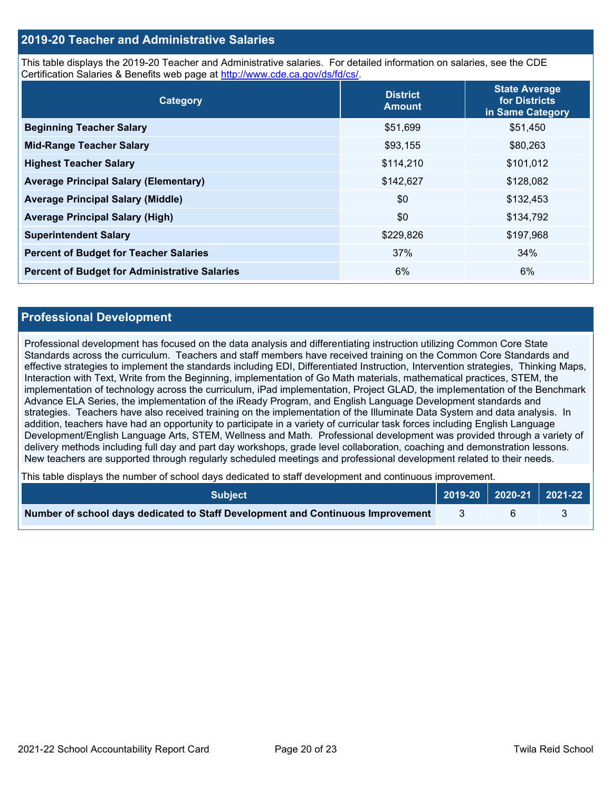# **2019-20 Teacher and Administrative Salaries**

This table displays the 2019-20 Teacher and Administrative salaries. For detailed information on salaries, see the CDE Certification Salaries & Benefits web page at [http://www.cde.ca.gov/ds/fd/cs/.](http://www.cde.ca.gov/ds/fd/cs/)

| Category                                             | <b>District</b><br><b>Amount</b> | <b>State Average</b><br>for Districts<br>in Same Category |
|------------------------------------------------------|----------------------------------|-----------------------------------------------------------|
| <b>Beginning Teacher Salary</b>                      | \$51,699                         | \$51,450                                                  |
| <b>Mid-Range Teacher Salary</b>                      | \$93,155                         | \$80,263                                                  |
| <b>Highest Teacher Salary</b>                        | \$114,210                        | \$101,012                                                 |
| <b>Average Principal Salary (Elementary)</b>         | \$142,627                        | \$128,082                                                 |
| <b>Average Principal Salary (Middle)</b>             | \$0                              | \$132,453                                                 |
| <b>Average Principal Salary (High)</b>               | \$0                              | \$134,792                                                 |
| <b>Superintendent Salary</b>                         | \$229,826                        | \$197,968                                                 |
| <b>Percent of Budget for Teacher Salaries</b>        | 37%                              | 34%                                                       |
| <b>Percent of Budget for Administrative Salaries</b> | 6%                               | 6%                                                        |

## **Professional Development**

Professional development has focused on the data analysis and differentiating instruction utilizing Common Core State Standards across the curriculum. Teachers and staff members have received training on the Common Core Standards and effective strategies to implement the standards including EDI, Differentiated Instruction, Intervention strategies, Thinking Maps, Interaction with Text, Write from the Beginning, implementation of Go Math materials, mathematical practices, STEM, the implementation of technology across the curriculum, iPad implementation, Project GLAD, the implementation of the Benchmark Advance ELA Series, the implementation of the iReady Program, and English Language Development standards and strategies. Teachers have also received training on the implementation of the Illuminate Data System and data analysis. In addition, teachers have had an opportunity to participate in a variety of curricular task forces including English Language Development/English Language Arts, STEM, Wellness and Math. Professional development was provided through a variety of delivery methods including full day and part day workshops, grade level collaboration, coaching and demonstration lessons. New teachers are supported through regularly scheduled meetings and professional development related to their needs.

This table displays the number of school days dedicated to staff development and continuous improvement.

| <b>Subiect</b>                                                                  | $\vert$ 2019-20 $\vert$ 2020-21 $\vert$ 2021-22 $\vert$ |  |
|---------------------------------------------------------------------------------|---------------------------------------------------------|--|
| Number of school days dedicated to Staff Development and Continuous Improvement |                                                         |  |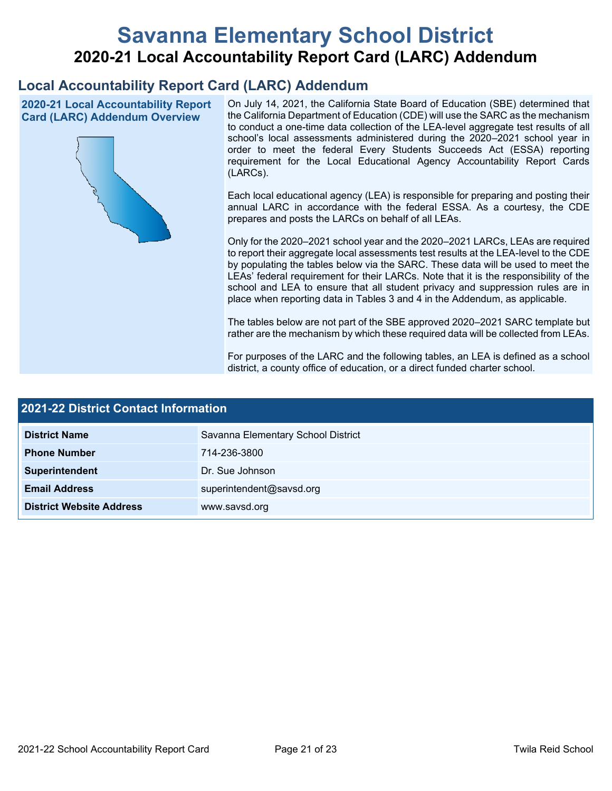# **Savanna Elementary School District 2020-21 Local Accountability Report Card (LARC) Addendum**

# **Local Accountability Report Card (LARC) Addendum**

**2020-21 Local Accountability Report Card (LARC) Addendum Overview**



On July 14, 2021, the California State Board of Education (SBE) determined that the California Department of Education (CDE) will use the SARC as the mechanism to conduct a one-time data collection of the LEA-level aggregate test results of all school's local assessments administered during the 2020–2021 school year in order to meet the federal Every Students Succeeds Act (ESSA) reporting requirement for the Local Educational Agency Accountability Report Cards (LARCs).

Each local educational agency (LEA) is responsible for preparing and posting their annual LARC in accordance with the federal ESSA. As a courtesy, the CDE prepares and posts the LARCs on behalf of all LEAs.

Only for the 2020–2021 school year and the 2020–2021 LARCs, LEAs are required to report their aggregate local assessments test results at the LEA-level to the CDE by populating the tables below via the SARC. These data will be used to meet the LEAs' federal requirement for their LARCs. Note that it is the responsibility of the school and LEA to ensure that all student privacy and suppression rules are in place when reporting data in Tables 3 and 4 in the Addendum, as applicable.

The tables below are not part of the SBE approved 2020–2021 SARC template but rather are the mechanism by which these required data will be collected from LEAs.

For purposes of the LARC and the following tables, an LEA is defined as a school district, a county office of education, or a direct funded charter school.

| 2021-22 District Contact Information |                                    |  |
|--------------------------------------|------------------------------------|--|
| <b>District Name</b>                 | Savanna Elementary School District |  |
| <b>Phone Number</b>                  | 714-236-3800                       |  |
| Superintendent                       | Dr. Sue Johnson                    |  |
| <b>Email Address</b>                 | superintendent@savsd.org           |  |
| <b>District Website Address</b>      | www.savsd.org                      |  |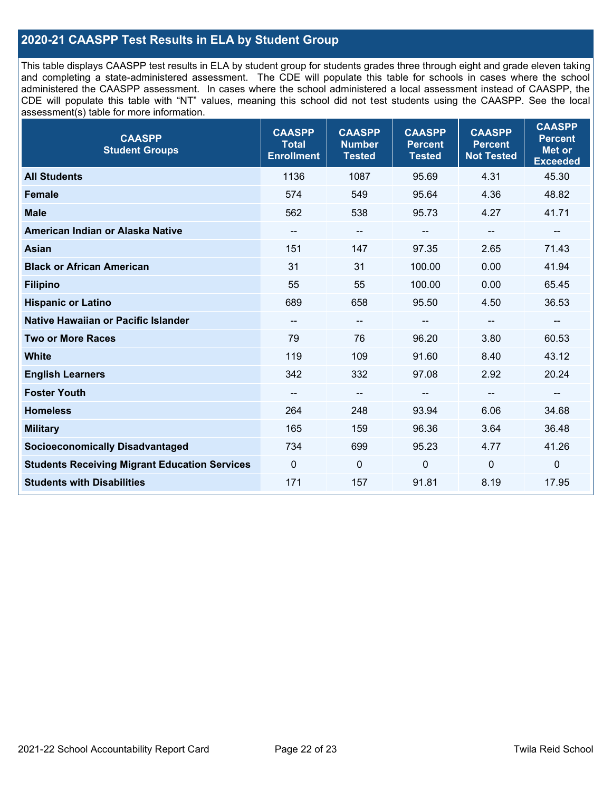# **2020-21 CAASPP Test Results in ELA by Student Group**

This table displays CAASPP test results in ELA by student group for students grades three through eight and grade eleven taking and completing a state-administered assessment. The CDE will populate this table for schools in cases where the school administered the CAASPP assessment. In cases where the school administered a local assessment instead of CAASPP, the CDE will populate this table with "NT" values, meaning this school did not test students using the CAASPP. See the local assessment(s) table for more information.

| <b>CAASPP</b><br><b>Student Groups</b>               | <b>CAASPP</b><br><b>Total</b><br><b>Enrollment</b> | <b>CAASPP</b><br><b>Number</b><br><b>Tested</b> | <b>CAASPP</b><br><b>Percent</b><br><b>Tested</b> | <b>CAASPP</b><br><b>Percent</b><br><b>Not Tested</b> | <b>CAASPP</b><br><b>Percent</b><br><b>Met or</b><br><b>Exceeded</b> |
|------------------------------------------------------|----------------------------------------------------|-------------------------------------------------|--------------------------------------------------|------------------------------------------------------|---------------------------------------------------------------------|
| <b>All Students</b>                                  | 1136                                               | 1087                                            | 95.69                                            | 4.31                                                 | 45.30                                                               |
| <b>Female</b>                                        | 574                                                | 549                                             | 95.64                                            | 4.36                                                 | 48.82                                                               |
| <b>Male</b>                                          | 562                                                | 538                                             | 95.73                                            | 4.27                                                 | 41.71                                                               |
| American Indian or Alaska Native                     | $\overline{\phantom{a}}$                           | $\overline{\phantom{m}}$                        | --                                               | $\overline{\phantom{a}}$                             | $\overline{\phantom{m}}$                                            |
| <b>Asian</b>                                         | 151                                                | 147                                             | 97.35                                            | 2.65                                                 | 71.43                                                               |
| <b>Black or African American</b>                     | 31                                                 | 31                                              | 100.00                                           | 0.00                                                 | 41.94                                                               |
| <b>Filipino</b>                                      | 55                                                 | 55                                              | 100.00                                           | 0.00                                                 | 65.45                                                               |
| <b>Hispanic or Latino</b>                            | 689                                                | 658                                             | 95.50                                            | 4.50                                                 | 36.53                                                               |
| <b>Native Hawaiian or Pacific Islander</b>           | --                                                 | $\overline{\phantom{m}}$                        | --                                               | $\overline{\phantom{a}}$                             | $\overline{\phantom{a}}$                                            |
| <b>Two or More Races</b>                             | 79                                                 | 76                                              | 96.20                                            | 3.80                                                 | 60.53                                                               |
| <b>White</b>                                         | 119                                                | 109                                             | 91.60                                            | 8.40                                                 | 43.12                                                               |
| <b>English Learners</b>                              | 342                                                | 332                                             | 97.08                                            | 2.92                                                 | 20.24                                                               |
| <b>Foster Youth</b>                                  | $\overline{\phantom{a}}$                           | $\overline{\phantom{m}}$                        | --                                               | --                                                   | --                                                                  |
| <b>Homeless</b>                                      | 264                                                | 248                                             | 93.94                                            | 6.06                                                 | 34.68                                                               |
| <b>Military</b>                                      | 165                                                | 159                                             | 96.36                                            | 3.64                                                 | 36.48                                                               |
| <b>Socioeconomically Disadvantaged</b>               | 734                                                | 699                                             | 95.23                                            | 4.77                                                 | 41.26                                                               |
| <b>Students Receiving Migrant Education Services</b> | $\Omega$                                           | $\mathbf 0$                                     | $\Omega$                                         | $\Omega$                                             | $\mathbf 0$                                                         |
| <b>Students with Disabilities</b>                    | 171                                                | 157                                             | 91.81                                            | 8.19                                                 | 17.95                                                               |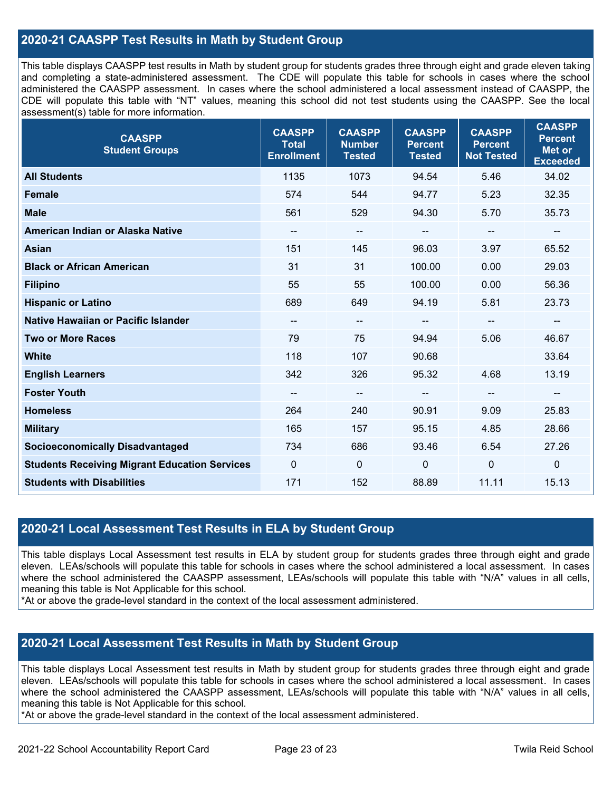# **2020-21 CAASPP Test Results in Math by Student Group**

This table displays CAASPP test results in Math by student group for students grades three through eight and grade eleven taking and completing a state-administered assessment. The CDE will populate this table for schools in cases where the school administered the CAASPP assessment. In cases where the school administered a local assessment instead of CAASPP, the CDE will populate this table with "NT" values, meaning this school did not test students using the CAASPP. See the local assessment(s) table for more information.

| <b>CAASPP</b><br><b>Student Groups</b>               | <b>CAASPP</b><br><b>Total</b><br><b>Enrollment</b> | <b>CAASPP</b><br><b>Number</b><br><b>Tested</b> | <b>CAASPP</b><br><b>Percent</b><br><b>Tested</b> | <b>CAASPP</b><br><b>Percent</b><br><b>Not Tested</b> | <b>CAASPP</b><br><b>Percent</b><br><b>Met or</b><br><b>Exceeded</b> |
|------------------------------------------------------|----------------------------------------------------|-------------------------------------------------|--------------------------------------------------|------------------------------------------------------|---------------------------------------------------------------------|
| <b>All Students</b>                                  | 1135                                               | 1073                                            | 94.54                                            | 5.46                                                 | 34.02                                                               |
| <b>Female</b>                                        | 574                                                | 544                                             | 94.77                                            | 5.23                                                 | 32.35                                                               |
| <b>Male</b>                                          | 561                                                | 529                                             | 94.30                                            | 5.70                                                 | 35.73                                                               |
| American Indian or Alaska Native                     | $\qquad \qquad -$                                  | --                                              | $\sim$                                           | --                                                   | $\overline{\phantom{a}}$                                            |
| <b>Asian</b>                                         | 151                                                | 145                                             | 96.03                                            | 3.97                                                 | 65.52                                                               |
| <b>Black or African American</b>                     | 31                                                 | 31                                              | 100.00                                           | 0.00                                                 | 29.03                                                               |
| <b>Filipino</b>                                      | 55                                                 | 55                                              | 100.00                                           | 0.00                                                 | 56.36                                                               |
| <b>Hispanic or Latino</b>                            | 689                                                | 649                                             | 94.19                                            | 5.81                                                 | 23.73                                                               |
| Native Hawaiian or Pacific Islander                  | $\qquad \qquad -$                                  | $\qquad \qquad -$                               | $\sim$                                           | $\overline{\phantom{a}}$                             | $\overline{\phantom{a}}$                                            |
| <b>Two or More Races</b>                             | 79                                                 | 75                                              | 94.94                                            | 5.06                                                 | 46.67                                                               |
| <b>White</b>                                         | 118                                                | 107                                             | 90.68                                            |                                                      | 33.64                                                               |
| <b>English Learners</b>                              | 342                                                | 326                                             | 95.32                                            | 4.68                                                 | 13.19                                                               |
| <b>Foster Youth</b>                                  | $\overline{\phantom{a}}$                           | --                                              | --                                               | --                                                   | $\overline{\phantom{a}}$                                            |
| <b>Homeless</b>                                      | 264                                                | 240                                             | 90.91                                            | 9.09                                                 | 25.83                                                               |
| <b>Military</b>                                      | 165                                                | 157                                             | 95.15                                            | 4.85                                                 | 28.66                                                               |
| <b>Socioeconomically Disadvantaged</b>               | 734                                                | 686                                             | 93.46                                            | 6.54                                                 | 27.26                                                               |
| <b>Students Receiving Migrant Education Services</b> | $\mathbf 0$                                        | 0                                               | $\mathbf 0$                                      | 0                                                    | $\mathbf 0$                                                         |
| <b>Students with Disabilities</b>                    | 171                                                | 152                                             | 88.89                                            | 11.11                                                | 15.13                                                               |

## **2020-21 Local Assessment Test Results in ELA by Student Group**

This table displays Local Assessment test results in ELA by student group for students grades three through eight and grade eleven. LEAs/schools will populate this table for schools in cases where the school administered a local assessment. In cases where the school administered the CAASPP assessment, LEAs/schools will populate this table with "N/A" values in all cells, meaning this table is Not Applicable for this school.

\*At or above the grade-level standard in the context of the local assessment administered.

# **2020-21 Local Assessment Test Results in Math by Student Group**

This table displays Local Assessment test results in Math by student group for students grades three through eight and grade eleven. LEAs/schools will populate this table for schools in cases where the school administered a local assessment. In cases where the school administered the CAASPP assessment, LEAs/schools will populate this table with "N/A" values in all cells, meaning this table is Not Applicable for this school.

\*At or above the grade-level standard in the context of the local assessment administered.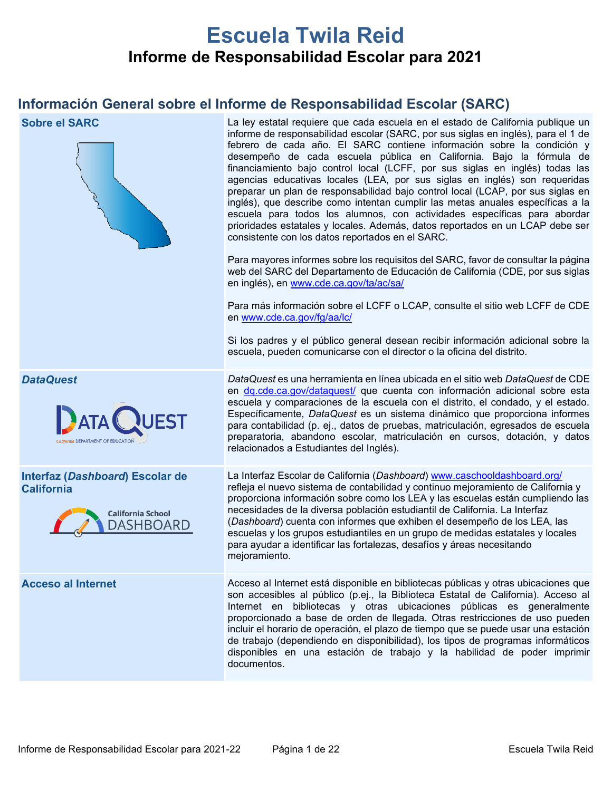# **Escuela Twila Reid Informe de Responsabilidad Escolar para 2021**

# **Información General sobre el Informe de Responsabilidad Escolar (SARC)**



**Sobre el SARC** La ley estatal requiere que cada escuela en el estado de California publique un informe de responsabilidad escolar (SARC, por sus siglas en inglés), para el 1 de febrero de cada año. El SARC contiene información sobre la condición y desempeño de cada escuela pública en California. Bajo la fórmula de financiamiento bajo control local (LCFF, por sus siglas en inglés) todas las agencias educativas locales (LEA, por sus siglas en inglés) son requeridas preparar un plan de responsabilidad bajo control local (LCAP, por sus siglas en inglés), que describe como intentan cumplir las metas anuales específicas a la escuela para todos los alumnos, con actividades específicas para abordar prioridades estatales y locales. Además, datos reportados en un LCAP debe ser consistente con los datos reportados en el SARC.

> Para mayores informes sobre los requisitos del SARC, favor de consultar la página web del SARC del Departamento de Educación de California (CDE, por sus siglas en inglés), en [www.cde.ca.gov/ta/ac/sa/](https://www.cde.ca.gov/ta/ac/sa/)

> Para más información sobre el LCFF o LCAP, consulte el sitio web LCFF de CDE en [www.cde.ca.gov/fg/aa/lc/](https://www.cde.ca.gov/fg/aa/lc/)

> Si los padres y el público general desean recibir información adicional sobre la escuela, pueden comunicarse con el director o la oficina del distrito.



**Interfaz (***Dashboard***) Escolar de California**



*DataQuest DataQuest* es una herramienta en línea ubicada en el sitio web *DataQuest* de CDE en [dq.cde.ca.gov/dataquest/](https://dq.cde.ca.gov/dataquest/) que cuenta con información adicional sobre esta escuela y comparaciones de la escuela con el distrito, el condado, y el estado. Específicamente, *DataQuest* es un sistema dinámico que proporciona informes para contabilidad (p. ej., datos de pruebas, matriculación, egresados de escuela preparatoria, abandono escolar, matriculación en cursos, dotación, y datos relacionados a Estudiantes del Inglés).

> La Interfaz Escolar de California (*Dashboard*) [www.caschooldashboard.org/](http://www.caschooldashboard.org/) refleja el nuevo sistema de contabilidad y continuo mejoramiento de California y proporciona información sobre como los LEA y las escuelas están cumpliendo las necesidades de la diversa población estudiantil de California. La Interfaz (*Dashboard*) cuenta con informes que exhiben el desempeño de los LEA, las escuelas y los grupos estudiantiles en un grupo de medidas estatales y locales para ayudar a identificar las fortalezas, desafíos y áreas necesitando mejoramiento.

**Acceso al Internet** Acceso al Internet está disponible en bibliotecas públicas y otras ubicaciones que son accesibles al público (p.ej., la Biblioteca Estatal de California). Acceso al Internet en bibliotecas y otras ubicaciones públicas es generalmente proporcionado a base de orden de llegada. Otras restricciones de uso pueden incluir el horario de operación, el plazo de tiempo que se puede usar una estación de trabajo (dependiendo en disponibilidad), los tipos de programas informáticos disponibles en una estación de trabajo y la habilidad de poder imprimir documentos.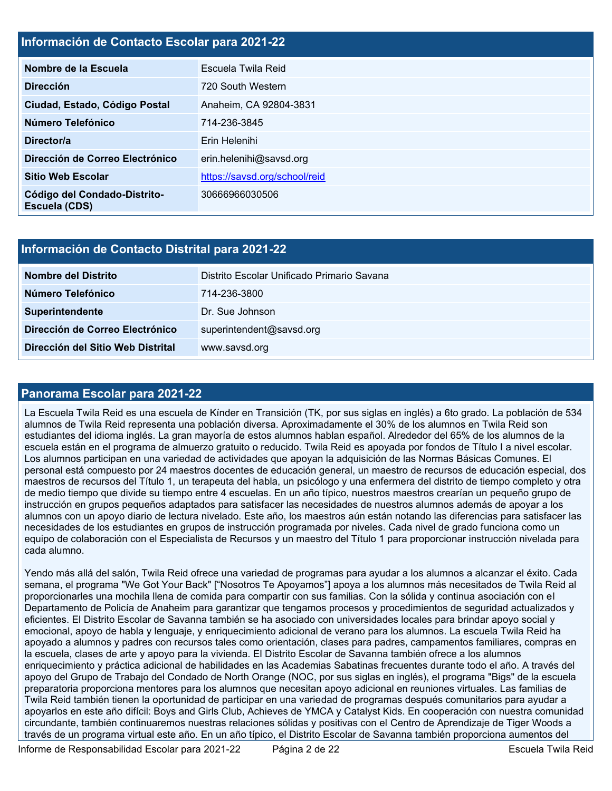# **Información de Contacto Escolar para 2021-22**

| Nombre de la Escuela                          | Escuela Twila Reid            |  |
|-----------------------------------------------|-------------------------------|--|
| <b>Dirección</b>                              | 720 South Western             |  |
| Ciudad, Estado, Código Postal                 | Anaheim, CA 92804-3831        |  |
| Número Telefónico                             | 714-236-3845                  |  |
| Director/a                                    | Erin Helenihi                 |  |
| Dirección de Correo Electrónico               | erin.helenihi@savsd.org       |  |
| <b>Sitio Web Escolar</b>                      | https://savsd.org/school/reid |  |
| Código del Condado-Distrito-<br>Escuela (CDS) | 30666966030506                |  |

# **Información de Contacto Distrital para 2021-22**

| Nombre del Distrito               | Distrito Escolar Unificado Primario Savana |  |  |  |  |
|-----------------------------------|--------------------------------------------|--|--|--|--|
| Número Telefónico                 | 714-236-3800                               |  |  |  |  |
| <b>Superintendente</b>            | Dr. Sue Johnson                            |  |  |  |  |
| Dirección de Correo Electrónico   | superintendent@savsd.org                   |  |  |  |  |
| Dirección del Sitio Web Distrital | www.savsd.org                              |  |  |  |  |

### **Panorama Escolar para 2021-22**

La Escuela Twila Reid es una escuela de Kínder en Transición (TK, por sus siglas en inglés) a 6to grado. La población de 534 alumnos de Twila Reid representa una población diversa. Aproximadamente el 30% de los alumnos en Twila Reid son estudiantes del idioma inglés. La gran mayoría de estos alumnos hablan español. Alrededor del 65% de los alumnos de la escuela están en el programa de almuerzo gratuito o reducido. Twila Reid es apoyada por fondos de Título I a nivel escolar. Los alumnos participan en una variedad de actividades que apoyan la adquisición de las Normas Básicas Comunes. El personal está compuesto por 24 maestros docentes de educación general, un maestro de recursos de educación especial, dos maestros de recursos del Título 1, un terapeuta del habla, un psicólogo y una enfermera del distrito de tiempo completo y otra de medio tiempo que divide su tiempo entre 4 escuelas. En un año típico, nuestros maestros crearían un pequeño grupo de instrucción en grupos pequeños adaptados para satisfacer las necesidades de nuestros alumnos además de apoyar a los alumnos con un apoyo diario de lectura nivelado. Este año, los maestros aún están notando las diferencias para satisfacer las necesidades de los estudiantes en grupos de instrucción programada por niveles. Cada nivel de grado funciona como un equipo de colaboración con el Especialista de Recursos y un maestro del Título 1 para proporcionar instrucción nivelada para cada alumno.

Yendo más allá del salón, Twila Reid ofrece una variedad de programas para ayudar a los alumnos a alcanzar el éxito. Cada semana, el programa "We Got Your Back" ["Nosotros Te Apoyamos"] apoya a los alumnos más necesitados de Twila Reid al proporcionarles una mochila llena de comida para compartir con sus familias. Con la sólida y continua asociación con el Departamento de Policía de Anaheim para garantizar que tengamos procesos y procedimientos de seguridad actualizados y eficientes. El Distrito Escolar de Savanna también se ha asociado con universidades locales para brindar apoyo social y emocional, apoyo de habla y lenguaje, y enriquecimiento adicional de verano para los alumnos. La escuela Twila Reid ha apoyado a alumnos y padres con recursos tales como orientación, clases para padres, campamentos familiares, compras en la escuela, clases de arte y apoyo para la vivienda. El Distrito Escolar de Savanna también ofrece a los alumnos enriquecimiento y práctica adicional de habilidades en las Academias Sabatinas frecuentes durante todo el año. A través del apoyo del Grupo de Trabajo del Condado de North Orange (NOC, por sus siglas en inglés), el programa "Bigs" de la escuela preparatoria proporciona mentores para los alumnos que necesitan apoyo adicional en reuniones virtuales. Las familias de Twila Reid también tienen la oportunidad de participar en una variedad de programas después comunitarios para ayudar a apoyarlos en este año difícil: Boys and Girls Club, Achieves de YMCA y Catalyst Kids. En cooperación con nuestra comunidad circundante, también continuaremos nuestras relaciones sólidas y positivas con el Centro de Aprendizaje de Tiger Woods a través de un programa virtual este año. En un año típico, el Distrito Escolar de Savanna también proporciona aumentos del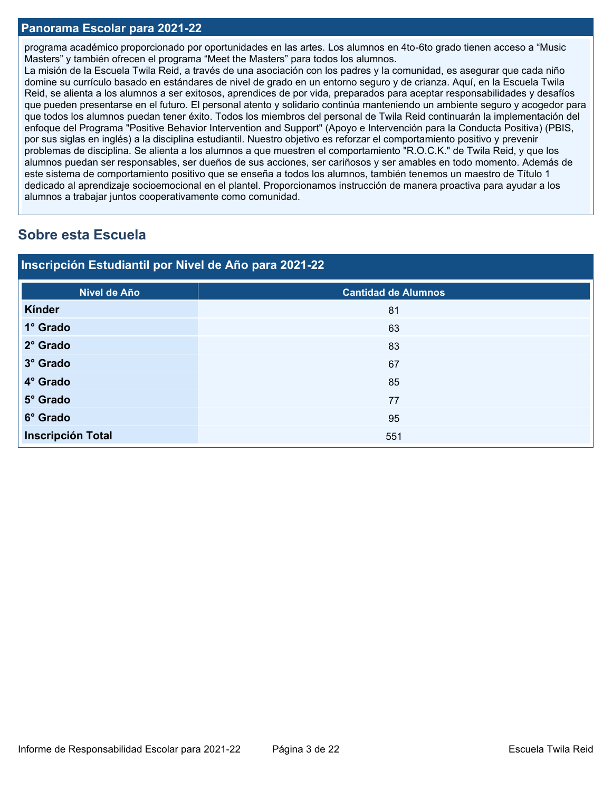### **Panorama Escolar para 2021-22**

programa académico proporcionado por oportunidades en las artes. Los alumnos en 4to-6to grado tienen acceso a "Music Masters" y también ofrecen el programa "Meet the Masters" para todos los alumnos.

La misión de la Escuela Twila Reid, a través de una asociación con los padres y la comunidad, es asegurar que cada niño domine su currículo basado en estándares de nivel de grado en un entorno seguro y de crianza. Aquí, en la Escuela Twila Reid, se alienta a los alumnos a ser exitosos, aprendices de por vida, preparados para aceptar responsabilidades y desafíos que pueden presentarse en el futuro. El personal atento y solidario continúa manteniendo un ambiente seguro y acogedor para que todos los alumnos puedan tener éxito. Todos los miembros del personal de Twila Reid continuarán la implementación del enfoque del Programa "Positive Behavior Intervention and Support" (Apoyo e Intervención para la Conducta Positiva) (PBIS, por sus siglas en inglés) a la disciplina estudiantil. Nuestro objetivo es reforzar el comportamiento positivo y prevenir problemas de disciplina. Se alienta a los alumnos a que muestren el comportamiento "R.O.C.K." de Twila Reid, y que los alumnos puedan ser responsables, ser dueños de sus acciones, ser cariñosos y ser amables en todo momento. Además de este sistema de comportamiento positivo que se enseña a todos los alumnos, también tenemos un maestro de Título 1 dedicado al aprendizaje socioemocional en el plantel. Proporcionamos instrucción de manera proactiva para ayudar a los alumnos a trabajar juntos cooperativamente como comunidad.

# **Sobre esta Escuela**

| Inscripción Estudiantil por Nivel de Año para 2021-22 |                            |  |  |  |  |  |
|-------------------------------------------------------|----------------------------|--|--|--|--|--|
| Nivel de Año                                          | <b>Cantidad de Alumnos</b> |  |  |  |  |  |
| Kínder                                                | 81                         |  |  |  |  |  |
| 1° Grado                                              | 63                         |  |  |  |  |  |
| 2° Grado                                              | 83                         |  |  |  |  |  |
| 3° Grado                                              | 67                         |  |  |  |  |  |
| 4° Grado                                              | 85                         |  |  |  |  |  |
| 5° Grado                                              | 77                         |  |  |  |  |  |
| 6° Grado                                              | 95                         |  |  |  |  |  |
| <b>Inscripción Total</b>                              | 551                        |  |  |  |  |  |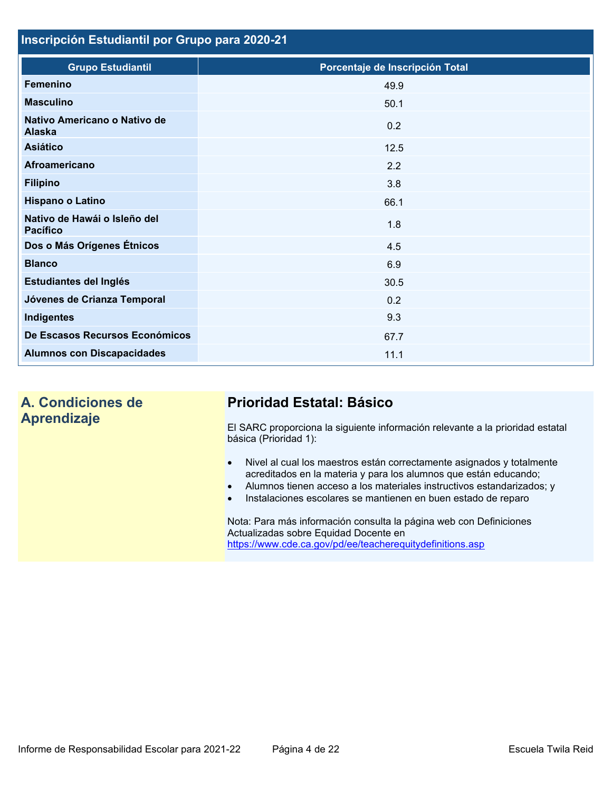# **Inscripción Estudiantil por Grupo para 2020-21**

| <b>Grupo Estudiantil</b>                        | Porcentaje de Inscripción Total |
|-------------------------------------------------|---------------------------------|
| <b>Femenino</b>                                 | 49.9                            |
| <b>Masculino</b>                                | 50.1                            |
| Nativo Americano o Nativo de<br><b>Alaska</b>   | 0.2                             |
| <b>Asiático</b>                                 | 12.5                            |
| <b>Afroamericano</b>                            | 2.2                             |
| <b>Filipino</b>                                 | 3.8                             |
| Hispano o Latino                                | 66.1                            |
| Nativo de Hawái o Isleño del<br><b>Pacífico</b> | 1.8                             |
| Dos o Más Orígenes Étnicos                      | 4.5                             |
| <b>Blanco</b>                                   | 6.9                             |
| Estudiantes del Inglés                          | 30.5                            |
| Jóvenes de Crianza Temporal                     | 0.2                             |
| Indigentes                                      | 9.3                             |
| De Escasos Recursos Económicos                  | 67.7                            |
| <b>Alumnos con Discapacidades</b>               | 11.1                            |

# **A. Condiciones de Aprendizaje**

# **Prioridad Estatal: Básico**

El SARC proporciona la siguiente información relevante a la prioridad estatal básica (Prioridad 1):

- Nivel al cual los maestros están correctamente asignados y totalmente acreditados en la materia y para los alumnos que están educando;
- Alumnos tienen acceso a los materiales instructivos estandarizados; y
- Instalaciones escolares se mantienen en buen estado de reparo

Nota: Para más información consulta la página web con Definiciones Actualizadas sobre Equidad Docente en <https://www.cde.ca.gov/pd/ee/teacherequitydefinitions.asp>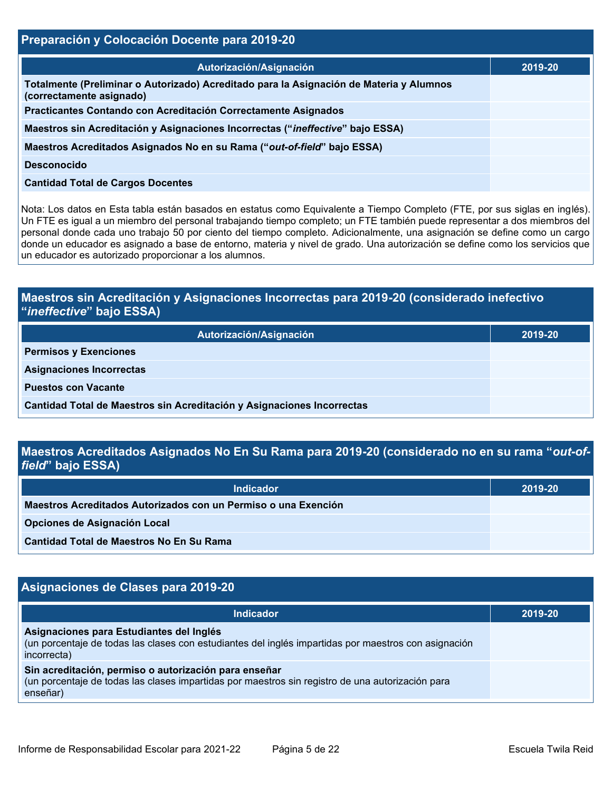# **Preparación y Colocación Docente para 2019-20**

| Autorización/Asignación                                                                                             | 2019-20 |
|---------------------------------------------------------------------------------------------------------------------|---------|
| Totalmente (Preliminar o Autorizado) Acreditado para la Asignación de Materia y Alumnos<br>(correctamente asignado) |         |
| Practicantes Contando con Acreditación Correctamente Asignados                                                      |         |
| Maestros sin Acreditación y Asignaciones Incorrectas ("ineffective" bajo ESSA)                                      |         |
| Maestros Acreditados Asignados No en su Rama ("out-of-field" bajo ESSA)                                             |         |
| <b>Desconocido</b>                                                                                                  |         |
| <b>Cantidad Total de Cargos Docentes</b>                                                                            |         |

Nota: Los datos en Esta tabla están basados en estatus como Equivalente a Tiempo Completo (FTE, por sus siglas en inglés). Un FTE es igual a un miembro del personal trabajando tiempo completo; un FTE también puede representar a dos miembros del personal donde cada uno trabajo 50 por ciento del tiempo completo. Adicionalmente, una asignación se define como un cargo donde un educador es asignado a base de entorno, materia y nivel de grado. Una autorización se define como los servicios que un educador es autorizado proporcionar a los alumnos.

# **Maestros sin Acreditación y Asignaciones Incorrectas para 2019-20 (considerado inefectivo "***ineffective***" bajo ESSA)**

| Autorización/Asignación                                                | 2019-20 |
|------------------------------------------------------------------------|---------|
| <b>Permisos y Exenciones</b>                                           |         |
| <b>Asignaciones Incorrectas</b>                                        |         |
| <b>Puestos con Vacante</b>                                             |         |
| Cantidad Total de Maestros sin Acreditación y Asignaciones Incorrectas |         |

# **Maestros Acreditados Asignados No En Su Rama para 2019-20 (considerado no en su rama "***out-offield***" bajo ESSA)**

| <b>Indicador</b>                                               | 2019-20 |
|----------------------------------------------------------------|---------|
| Maestros Acreditados Autorizados con un Permiso o una Exención |         |
| Opciones de Asignación Local                                   |         |
| Cantidad Total de Maestros No En Su Rama                       |         |

# **Asignaciones de Clases para 2019-20**

| <b>Indicador</b>                                                                                                                                                      | 2019-20 |
|-----------------------------------------------------------------------------------------------------------------------------------------------------------------------|---------|
| Asignaciones para Estudiantes del Inglés<br>(un porcentaje de todas las clases con estudiantes del inglés impartidas por maestros con asignación<br>incorrecta)       |         |
| Sin acreditación, permiso o autorización para enseñar<br>(un porcentaje de todas las clases impartidas por maestros sin registro de una autorización para<br>enseñar) |         |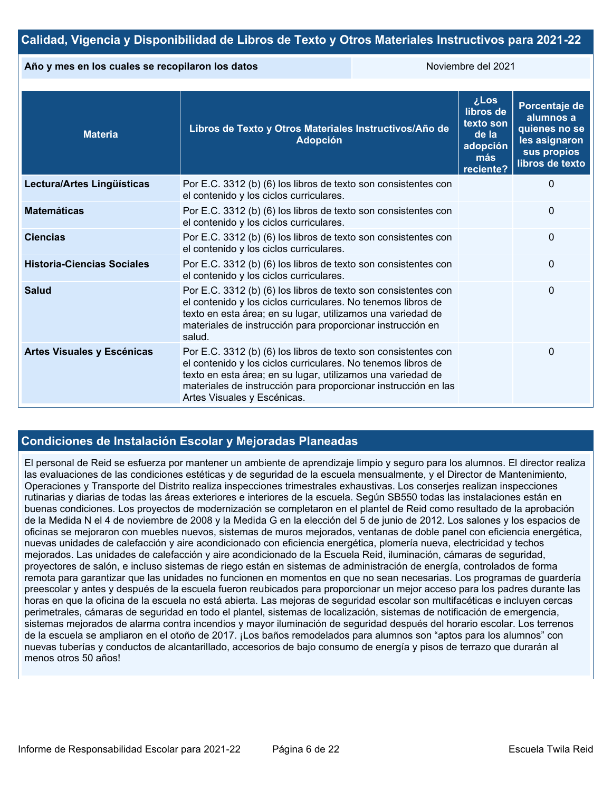# **Calidad, Vigencia y Disponibilidad de Libros de Texto y Otros Materiales Instructivos para 2021-22**

#### **Año y mes en los cuales se recopilaron los datos** Noviembre del 2021

| <b>Materia</b>                    | Libros de Texto y Otros Materiales Instructivos/Año de<br><b>Adopción</b>                                                                                                                                                                                                                      | <b>Los</b><br>libros de<br>texto son<br>de la<br>adopción<br>más<br>reciente? | Porcentaje de<br>alumnos a<br>quienes no se<br>les asignaron<br>sus propios<br>libros de texto |
|-----------------------------------|------------------------------------------------------------------------------------------------------------------------------------------------------------------------------------------------------------------------------------------------------------------------------------------------|-------------------------------------------------------------------------------|------------------------------------------------------------------------------------------------|
| Lectura/Artes Lingüísticas        | Por E.C. 3312 (b) (6) los libros de texto son consistentes con<br>el contenido y los ciclos curriculares.                                                                                                                                                                                      |                                                                               | $\Omega$                                                                                       |
| <b>Matemáticas</b>                | Por E.C. 3312 (b) (6) los libros de texto son consistentes con<br>el contenido y los ciclos curriculares.                                                                                                                                                                                      |                                                                               | $\mathbf{0}$                                                                                   |
| <b>Ciencias</b>                   | Por E.C. 3312 (b) (6) los libros de texto son consistentes con<br>el contenido y los ciclos curriculares.                                                                                                                                                                                      |                                                                               | $\Omega$                                                                                       |
| <b>Historia-Ciencias Sociales</b> | Por E.C. 3312 (b) (6) los libros de texto son consistentes con<br>el contenido y los ciclos curriculares.                                                                                                                                                                                      |                                                                               | $\mathbf{0}$                                                                                   |
| <b>Salud</b>                      | Por E.C. 3312 (b) (6) los libros de texto son consistentes con<br>el contenido y los ciclos curriculares. No tenemos libros de<br>texto en esta área; en su lugar, utilizamos una variedad de<br>materiales de instrucción para proporcionar instrucción en<br>salud.                          |                                                                               | $\Omega$                                                                                       |
| Artes Visuales y Escénicas        | Por E.C. 3312 (b) (6) los libros de texto son consistentes con<br>el contenido y los ciclos curriculares. No tenemos libros de<br>texto en esta área; en su lugar, utilizamos una variedad de<br>materiales de instrucción para proporcionar instrucción en las<br>Artes Visuales y Escénicas. |                                                                               | 0                                                                                              |

# **Condiciones de Instalación Escolar y Mejoradas Planeadas**

El personal de Reid se esfuerza por mantener un ambiente de aprendizaje limpio y seguro para los alumnos. El director realiza las evaluaciones de las condiciones estéticas y de seguridad de la escuela mensualmente, y el Director de Mantenimiento, Operaciones y Transporte del Distrito realiza inspecciones trimestrales exhaustivas. Los conserjes realizan inspecciones rutinarias y diarias de todas las áreas exteriores e interiores de la escuela. Según SB550 todas las instalaciones están en buenas condiciones. Los proyectos de modernización se completaron en el plantel de Reid como resultado de la aprobación de la Medida N el 4 de noviembre de 2008 y la Medida G en la elección del 5 de junio de 2012. Los salones y los espacios de oficinas se mejoraron con muebles nuevos, sistemas de muros mejorados, ventanas de doble panel con eficiencia energética, nuevas unidades de calefacción y aire acondicionado con eficiencia energética, plomería nueva, electricidad y techos mejorados. Las unidades de calefacción y aire acondicionado de la Escuela Reid, iluminación, cámaras de seguridad, proyectores de salón, e incluso sistemas de riego están en sistemas de administración de energía, controlados de forma remota para garantizar que las unidades no funcionen en momentos en que no sean necesarias. Los programas de guardería preescolar y antes y después de la escuela fueron reubicados para proporcionar un mejor acceso para los padres durante las horas en que la oficina de la escuela no está abierta. Las mejoras de seguridad escolar son multifacéticas e incluyen cercas perimetrales, cámaras de seguridad en todo el plantel, sistemas de localización, sistemas de notificación de emergencia, sistemas mejorados de alarma contra incendios y mayor iluminación de seguridad después del horario escolar. Los terrenos de la escuela se ampliaron en el otoño de 2017. ¡Los baños remodelados para alumnos son "aptos para los alumnos" con nuevas tuberías y conductos de alcantarillado, accesorios de bajo consumo de energía y pisos de terrazo que durarán al menos otros 50 años!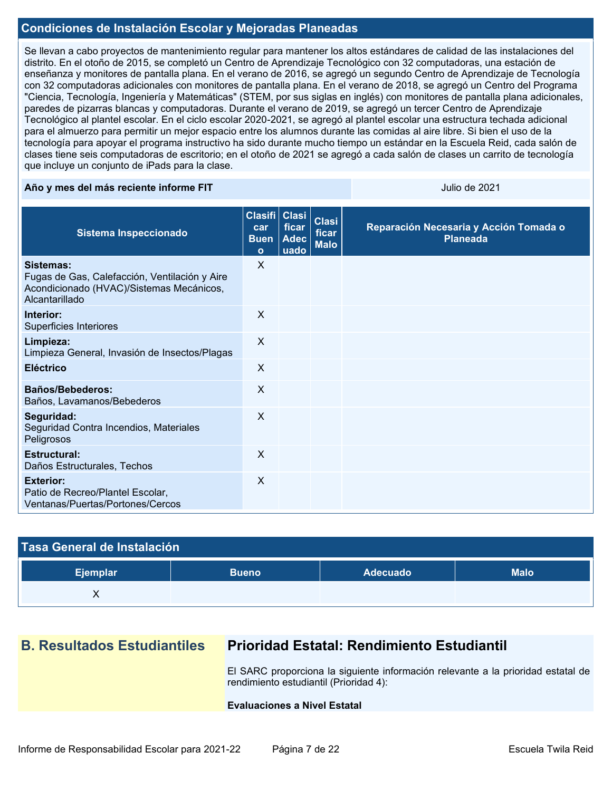## **Condiciones de Instalación Escolar y Mejoradas Planeadas**

Se llevan a cabo proyectos de mantenimiento regular para mantener los altos estándares de calidad de las instalaciones del distrito. En el otoño de 2015, se completó un Centro de Aprendizaje Tecnológico con 32 computadoras, una estación de enseñanza y monitores de pantalla plana. En el verano de 2016, se agregó un segundo Centro de Aprendizaje de Tecnología con 32 computadoras adicionales con monitores de pantalla plana. En el verano de 2018, se agregó un Centro del Programa "Ciencia, Tecnología, Ingeniería y Matemáticas" (STEM, por sus siglas en inglés) con monitores de pantalla plana adicionales, paredes de pizarras blancas y computadoras. Durante el verano de 2019, se agregó un tercer Centro de Aprendizaje Tecnológico al plantel escolar. En el ciclo escolar 2020-2021, se agregó al plantel escolar una estructura techada adicional para el almuerzo para permitir un mejor espacio entre los alumnos durante las comidas al aire libre. Si bien el uso de la tecnología para apoyar el programa instructivo ha sido durante mucho tiempo un estándar en la Escuela Reid, cada salón de clases tiene seis computadoras de escritorio; en el otoño de 2021 se agregó a cada salón de clases un carrito de tecnología que incluye un conjunto de iPads para la clase.

#### **Año y mes del más reciente informe FIT** Antico de 2021 a substitutiva de 2021 a Vulio de 2021

| Sistema Inspeccionado                                                                                                    | Clasifi   Clasi  <br>car<br><b>Buen</b><br>$\Omega$ | ficar<br><b>Adec</b><br>uado | <b>Clasi</b><br>ficar<br><b>Malo</b> | Reparación Necesaria y Acción Tomada o<br><b>Planeada</b> |
|--------------------------------------------------------------------------------------------------------------------------|-----------------------------------------------------|------------------------------|--------------------------------------|-----------------------------------------------------------|
| Sistemas:<br>Fugas de Gas, Calefacción, Ventilación y Aire<br>Acondicionado (HVAC)/Sistemas Mecánicos,<br>Alcantarillado | X                                                   |                              |                                      |                                                           |
| Interior:<br>Superficies Interiores                                                                                      | X                                                   |                              |                                      |                                                           |
| Limpieza:<br>Limpieza General, Invasión de Insectos/Plagas                                                               | $\sf X$                                             |                              |                                      |                                                           |
| <b>Eléctrico</b>                                                                                                         | $\sf X$                                             |                              |                                      |                                                           |
| Baños/Bebederos:<br>Baños, Lavamanos/Bebederos                                                                           | $\mathsf{X}$                                        |                              |                                      |                                                           |
| Seguridad:<br>Seguridad Contra Incendios, Materiales<br>Peligrosos                                                       | X                                                   |                              |                                      |                                                           |
| <b>Estructural:</b><br>Daños Estructurales, Techos                                                                       | $\times$                                            |                              |                                      |                                                           |
| <b>Exterior:</b><br>Patio de Recreo/Plantel Escolar,<br>Ventanas/Puertas/Portones/Cercos                                 | X                                                   |                              |                                      |                                                           |

| Tasa General de Instalación |              |                 |             |  |  |  |
|-----------------------------|--------------|-----------------|-------------|--|--|--|
| Ejemplar                    | <b>Bueno</b> | <b>Adecuado</b> | <b>Malo</b> |  |  |  |
|                             |              |                 |             |  |  |  |

# **B. Resultados Estudiantiles Prioridad Estatal: Rendimiento Estudiantil**

El SARC proporciona la siguiente información relevante a la prioridad estatal de rendimiento estudiantil (Prioridad 4):

#### **Evaluaciones a Nivel Estatal**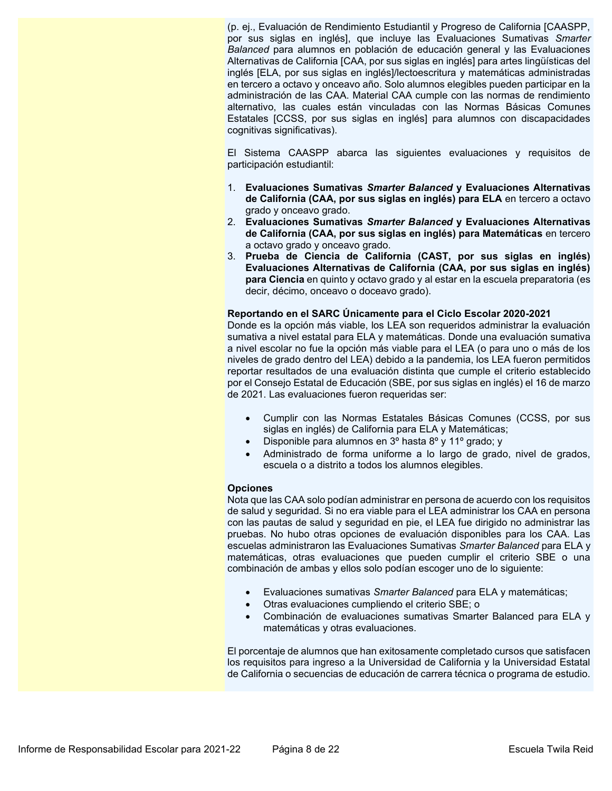(p. ej., Evaluación de Rendimiento Estudiantil y Progreso de California [CAASPP, por sus siglas en inglés], que incluye las Evaluaciones Sumativas *Smarter Balanced* para alumnos en población de educación general y las Evaluaciones Alternativas de California [CAA, por sus siglas en inglés] para artes lingüísticas del inglés [ELA, por sus siglas en inglés]/lectoescritura y matemáticas administradas en tercero a octavo y onceavo año. Solo alumnos elegibles pueden participar en la administración de las CAA. Material CAA cumple con las normas de rendimiento alternativo, las cuales están vinculadas con las Normas Básicas Comunes Estatales [CCSS, por sus siglas en inglés] para alumnos con discapacidades cognitivas significativas).

El Sistema CAASPP abarca las siguientes evaluaciones y requisitos de participación estudiantil:

- 1. **Evaluaciones Sumativas** *Smarter Balanced* **y Evaluaciones Alternativas de California (CAA, por sus siglas en inglés) para ELA** en tercero a octavo grado y onceavo grado.
- 2. **Evaluaciones Sumativas** *Smarter Balanced* **y Evaluaciones Alternativas de California (CAA, por sus siglas en inglés) para Matemáticas** en tercero a octavo grado y onceavo grado.
- 3. **Prueba de Ciencia de California (CAST, por sus siglas en inglés) Evaluaciones Alternativas de California (CAA, por sus siglas en inglés) para Ciencia** en quinto y octavo grado y al estar en la escuela preparatoria (es decir, décimo, onceavo o doceavo grado).

#### **Reportando en el SARC Únicamente para el Ciclo Escolar 2020-2021**

Donde es la opción más viable, los LEA son requeridos administrar la evaluación sumativa a nivel estatal para ELA y matemáticas. Donde una evaluación sumativa a nivel escolar no fue la opción más viable para el LEA (o para uno o más de los niveles de grado dentro del LEA) debido a la pandemia, los LEA fueron permitidos reportar resultados de una evaluación distinta que cumple el criterio establecido por el Consejo Estatal de Educación (SBE, por sus siglas en inglés) el 16 de marzo de 2021. Las evaluaciones fueron requeridas ser:

- Cumplir con las Normas Estatales Básicas Comunes (CCSS, por sus siglas en inglés) de California para ELA y Matemáticas;
- Disponible para alumnos en 3º hasta 8º y 11º grado; y
- Administrado de forma uniforme a lo largo de grado, nivel de grados, escuela o a distrito a todos los alumnos elegibles.

#### **Opciones**

Nota que las CAA solo podían administrar en persona de acuerdo con los requisitos de salud y seguridad. Si no era viable para el LEA administrar los CAA en persona con las pautas de salud y seguridad en pie, el LEA fue dirigido no administrar las pruebas. No hubo otras opciones de evaluación disponibles para los CAA. Las escuelas administraron las Evaluaciones Sumativas *Smarter Balanced* para ELA y matemáticas, otras evaluaciones que pueden cumplir el criterio SBE o una combinación de ambas y ellos solo podían escoger uno de lo siguiente:

- Evaluaciones sumativas *Smarter Balanced* para ELA y matemáticas;
- Otras evaluaciones cumpliendo el criterio SBE; o
- Combinación de evaluaciones sumativas Smarter Balanced para ELA y matemáticas y otras evaluaciones.

El porcentaje de alumnos que han exitosamente completado cursos que satisfacen los requisitos para ingreso a la Universidad de California y la Universidad Estatal de California o secuencias de educación de carrera técnica o programa de estudio.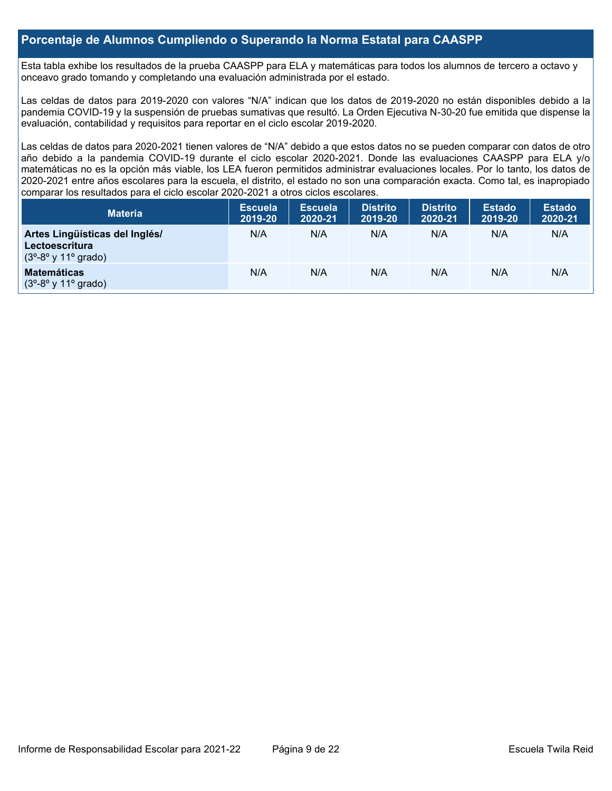## **Porcentaje de Alumnos Cumpliendo o Superando la Norma Estatal para CAASPP**

Esta tabla exhibe los resultados de la prueba CAASPP para ELA y matemáticas para todos los alumnos de tercero a octavo y onceavo grado tomando y completando una evaluación administrada por el estado.

Las celdas de datos para 2019-2020 con valores "N/A" indican que los datos de 2019-2020 no están disponibles debido a la pandemia COVID-19 y la suspensión de pruebas sumativas que resultó. La Orden Ejecutiva N-30-20 fue emitida que dispense la evaluación, contabilidad y requisitos para reportar en el ciclo escolar 2019-2020.

Las celdas de datos para 2020-2021 tienen valores de "N/A" debido a que estos datos no se pueden comparar con datos de otro año debido a la pandemia COVID-19 durante el ciclo escolar 2020-2021. Donde las evaluaciones CAASPP para ELA y/o matemáticas no es la opción más viable, los LEA fueron permitidos administrar evaluaciones locales. Por lo tanto, los datos de 2020-2021 entre años escolares para la escuela, el distrito, el estado no son una comparación exacta. Como tal, es inapropiado comparar los resultados para el ciclo escolar 2020-2021 a otros ciclos escolares.

| <b>Materia</b>                                                                                              | <b>Escuela</b><br>2019-20 | <b>Escuela</b><br>2020-21 | <b>Distrito</b><br>2019-20 | <b>Distrito</b><br>2020-21 | <b>Estado</b><br>2019-20 | <b>Estado</b><br>2020-21 |
|-------------------------------------------------------------------------------------------------------------|---------------------------|---------------------------|----------------------------|----------------------------|--------------------------|--------------------------|
| Artes Lingüísticas del Inglés/<br>Lectoescritura<br>$(3^{\circ} - 8^{\circ} \vee 11^{\circ} \text{ grado})$ | N/A                       | N/A                       | N/A                        | N/A                        | N/A                      | N/A                      |
| <b>Matemáticas</b><br>$(3^{\circ} - 8^{\circ} \vee 11^{\circ} \text{ grado})$                               | N/A                       | N/A                       | N/A                        | N/A                        | N/A                      | N/A                      |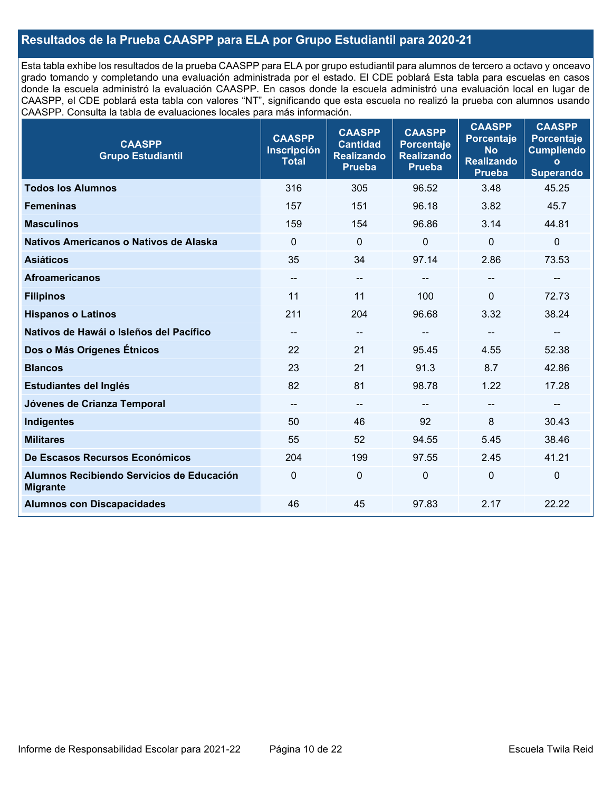# **Resultados de la Prueba CAASPP para ELA por Grupo Estudiantil para 2020-21**

Esta tabla exhibe los resultados de la prueba CAASPP para ELA por grupo estudiantil para alumnos de tercero a octavo y onceavo grado tomando y completando una evaluación administrada por el estado. El CDE poblará Esta tabla para escuelas en casos donde la escuela administró la evaluación CAASPP. En casos donde la escuela administró una evaluación local en lugar de CAASPP, el CDE poblará esta tabla con valores "NT", significando que esta escuela no realizó la prueba con alumnos usando CAASPP. Consulta la tabla de evaluaciones locales para más información.

| <b>CAASPP</b><br><b>Grupo Estudiantil</b>                    | <b>CAASPP</b><br><b>Inscripción</b><br><b>Total</b> | <b>CAASPP</b><br><b>Cantidad</b><br><b>Realizando</b><br><b>Prueba</b> | <b>CAASPP</b><br><b>Porcentaje</b><br><b>Realizando</b><br>Prueba | <b>CAASPP</b><br><b>Porcentaje</b><br><b>No</b><br><b>Realizando</b><br><b>Prueba</b> | <b>CAASPP</b><br><b>Porcentaje</b><br><b>Cumpliendo</b><br>$\mathbf{o}$<br><b>Superando</b> |
|--------------------------------------------------------------|-----------------------------------------------------|------------------------------------------------------------------------|-------------------------------------------------------------------|---------------------------------------------------------------------------------------|---------------------------------------------------------------------------------------------|
| <b>Todos los Alumnos</b>                                     | 316                                                 | 305                                                                    | 96.52                                                             | 3.48                                                                                  | 45.25                                                                                       |
| <b>Femeninas</b>                                             | 157                                                 | 151                                                                    | 96.18                                                             | 3.82                                                                                  | 45.7                                                                                        |
| <b>Masculinos</b>                                            | 159                                                 | 154                                                                    | 96.86                                                             | 3.14                                                                                  | 44.81                                                                                       |
| Nativos Americanos o Nativos de Alaska                       | $\Omega$                                            | $\mathbf 0$                                                            | 0                                                                 | 0                                                                                     | $\mathbf 0$                                                                                 |
| <b>Asiáticos</b>                                             | 35                                                  | 34                                                                     | 97.14                                                             | 2.86                                                                                  | 73.53                                                                                       |
| <b>Afroamericanos</b>                                        | $\hspace{0.05cm}$ – $\hspace{0.05cm}$               | $\qquad \qquad -$                                                      |                                                                   |                                                                                       | --                                                                                          |
| <b>Filipinos</b>                                             | 11                                                  | 11                                                                     | 100                                                               | $\mathbf{0}$                                                                          | 72.73                                                                                       |
| <b>Hispanos o Latinos</b>                                    | 211                                                 | 204                                                                    | 96.68                                                             | 3.32                                                                                  | 38.24                                                                                       |
| Nativos de Hawái o Isleños del Pacífico                      | $\overline{\phantom{a}}$                            | $\qquad \qquad -$                                                      | --                                                                | --                                                                                    | $-\!$                                                                                       |
| Dos o Más Orígenes Étnicos                                   | 22                                                  | 21                                                                     | 95.45                                                             | 4.55                                                                                  | 52.38                                                                                       |
| <b>Blancos</b>                                               | 23                                                  | 21                                                                     | 91.3                                                              | 8.7                                                                                   | 42.86                                                                                       |
| Estudiantes del Inglés                                       | 82                                                  | 81                                                                     | 98.78                                                             | 1.22                                                                                  | 17.28                                                                                       |
| Jóvenes de Crianza Temporal                                  | $\qquad \qquad -$                                   | $\overline{\phantom{a}}$                                               | --                                                                | $- -$                                                                                 | --                                                                                          |
| <b>Indigentes</b>                                            | 50                                                  | 46                                                                     | 92                                                                | 8                                                                                     | 30.43                                                                                       |
| <b>Militares</b>                                             | 55                                                  | 52                                                                     | 94.55                                                             | 5.45                                                                                  | 38.46                                                                                       |
| De Escasos Recursos Económicos                               | 204                                                 | 199                                                                    | 97.55                                                             | 2.45                                                                                  | 41.21                                                                                       |
| Alumnos Recibiendo Servicios de Educación<br><b>Migrante</b> | 0                                                   | 0                                                                      | 0                                                                 | 0                                                                                     | $\pmb{0}$                                                                                   |
| <b>Alumnos con Discapacidades</b>                            | 46                                                  | 45                                                                     | 97.83                                                             | 2.17                                                                                  | 22.22                                                                                       |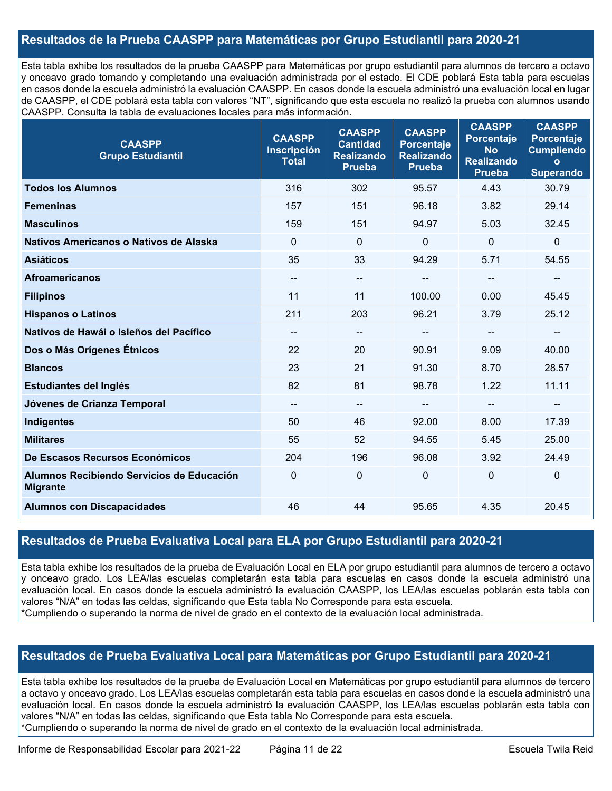# **Resultados de la Prueba CAASPP para Matemáticas por Grupo Estudiantil para 2020-21**

Esta tabla exhibe los resultados de la prueba CAASPP para Matemáticas por grupo estudiantil para alumnos de tercero a octavo y onceavo grado tomando y completando una evaluación administrada por el estado. El CDE poblará Esta tabla para escuelas en casos donde la escuela administró la evaluación CAASPP. En casos donde la escuela administró una evaluación local en lugar de CAASPP, el CDE poblará esta tabla con valores "NT", significando que esta escuela no realizó la prueba con alumnos usando CAASPP. Consulta la tabla de evaluaciones locales para más información.

| <b>CAASPP</b><br><b>Grupo Estudiantil</b>                    | <b>CAASPP</b><br><b>Inscripción</b><br><b>Total</b> | <b>CAASPP</b><br><b>Cantidad</b><br><b>Realizando</b><br><b>Prueba</b> | <b>CAASPP</b><br><b>Porcentaje</b><br><b>Realizando</b><br><b>Prueba</b> | <b>CAASPP</b><br><b>Porcentaje</b><br><b>No</b><br><b>Realizando</b><br><b>Prueba</b> | <b>CAASPP</b><br><b>Porcentaje</b><br><b>Cumpliendo</b><br>$\circ$<br><b>Superando</b> |
|--------------------------------------------------------------|-----------------------------------------------------|------------------------------------------------------------------------|--------------------------------------------------------------------------|---------------------------------------------------------------------------------------|----------------------------------------------------------------------------------------|
| <b>Todos los Alumnos</b>                                     | 316                                                 | 302                                                                    | 95.57                                                                    | 4.43                                                                                  | 30.79                                                                                  |
| <b>Femeninas</b>                                             | 157                                                 | 151                                                                    | 96.18                                                                    | 3.82                                                                                  | 29.14                                                                                  |
| <b>Masculinos</b>                                            | 159                                                 | 151                                                                    | 94.97                                                                    | 5.03                                                                                  | 32.45                                                                                  |
| Nativos Americanos o Nativos de Alaska                       | $\Omega$                                            | $\mathbf 0$                                                            | 0                                                                        | $\Omega$                                                                              | $\mathbf 0$                                                                            |
| <b>Asiáticos</b>                                             | 35                                                  | 33                                                                     | 94.29                                                                    | 5.71                                                                                  | 54.55                                                                                  |
| <b>Afroamericanos</b>                                        | $\overline{\phantom{a}}$                            | $\overline{\phantom{a}}$                                               | --                                                                       |                                                                                       | $-$                                                                                    |
| <b>Filipinos</b>                                             | 11                                                  | 11                                                                     | 100.00                                                                   | 0.00                                                                                  | 45.45                                                                                  |
| <b>Hispanos o Latinos</b>                                    | 211                                                 | 203                                                                    | 96.21                                                                    | 3.79                                                                                  | 25.12                                                                                  |
| Nativos de Hawái o Isleños del Pacífico                      | $\qquad \qquad -$                                   | $\overline{\phantom{a}}$                                               | $\qquad \qquad -$                                                        | --                                                                                    | --                                                                                     |
| Dos o Más Orígenes Étnicos                                   | 22                                                  | 20                                                                     | 90.91                                                                    | 9.09                                                                                  | 40.00                                                                                  |
| <b>Blancos</b>                                               | 23                                                  | 21                                                                     | 91.30                                                                    | 8.70                                                                                  | 28.57                                                                                  |
| Estudiantes del Inglés                                       | 82                                                  | 81                                                                     | 98.78                                                                    | 1.22                                                                                  | 11.11                                                                                  |
| Jóvenes de Crianza Temporal                                  | $\overline{\phantom{a}}$                            | $\overline{\phantom{a}}$                                               | --                                                                       | $- -$                                                                                 | --                                                                                     |
| Indigentes                                                   | 50                                                  | 46                                                                     | 92.00                                                                    | 8.00                                                                                  | 17.39                                                                                  |
| <b>Militares</b>                                             | 55                                                  | 52                                                                     | 94.55                                                                    | 5.45                                                                                  | 25.00                                                                                  |
| De Escasos Recursos Económicos                               | 204                                                 | 196                                                                    | 96.08                                                                    | 3.92                                                                                  | 24.49                                                                                  |
| Alumnos Recibiendo Servicios de Educación<br><b>Migrante</b> | $\Omega$                                            | $\mathbf 0$                                                            | 0                                                                        | $\mathbf 0$                                                                           | $\pmb{0}$                                                                              |
| <b>Alumnos con Discapacidades</b>                            | 46                                                  | 44                                                                     | 95.65                                                                    | 4.35                                                                                  | 20.45                                                                                  |

# **Resultados de Prueba Evaluativa Local para ELA por Grupo Estudiantil para 2020-21**

Esta tabla exhibe los resultados de la prueba de Evaluación Local en ELA por grupo estudiantil para alumnos de tercero a octavo y onceavo grado. Los LEA/las escuelas completarán esta tabla para escuelas en casos donde la escuela administró una evaluación local. En casos donde la escuela administró la evaluación CAASPP, los LEA/las escuelas poblarán esta tabla con valores "N/A" en todas las celdas, significando que Esta tabla No Corresponde para esta escuela. \*Cumpliendo o superando la norma de nivel de grado en el contexto de la evaluación local administrada.

## **Resultados de Prueba Evaluativa Local para Matemáticas por Grupo Estudiantil para 2020-21**

Esta tabla exhibe los resultados de la prueba de Evaluación Local en Matemáticas por grupo estudiantil para alumnos de tercero a octavo y onceavo grado. Los LEA/las escuelas completarán esta tabla para escuelas en casos donde la escuela administró una evaluación local. En casos donde la escuela administró la evaluación CAASPP, los LEA/las escuelas poblarán esta tabla con valores "N/A" en todas las celdas, significando que Esta tabla No Corresponde para esta escuela. \*Cumpliendo o superando la norma de nivel de grado en el contexto de la evaluación local administrada.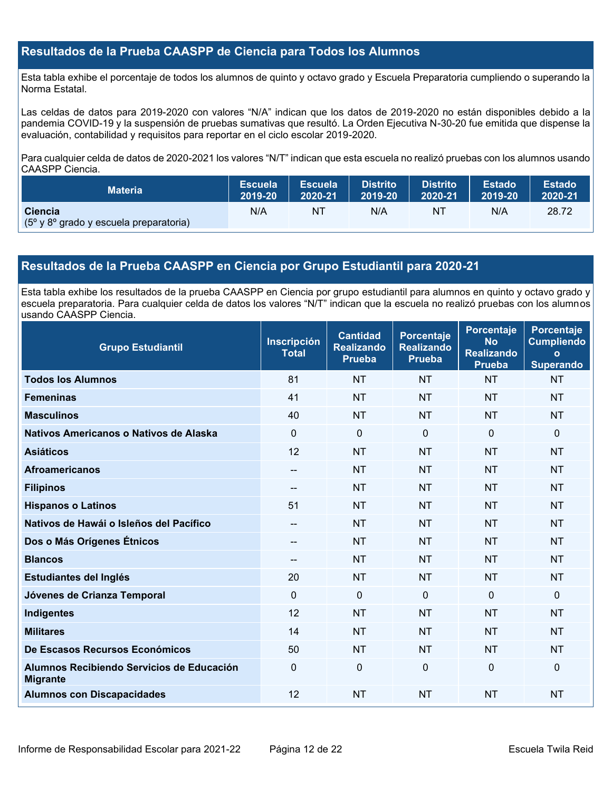## **Resultados de la Prueba CAASPP de Ciencia para Todos los Alumnos**

Esta tabla exhibe el porcentaje de todos los alumnos de quinto y octavo grado y Escuela Preparatoria cumpliendo o superando la Norma Estatal.

Las celdas de datos para 2019-2020 con valores "N/A" indican que los datos de 2019-2020 no están disponibles debido a la pandemia COVID-19 y la suspensión de pruebas sumativas que resultó. La Orden Ejecutiva N-30-20 fue emitida que dispense la evaluación, contabilidad y requisitos para reportar en el ciclo escolar 2019-2020.

Para cualquier celda de datos de 2020-2021 los valores "N/T" indican que esta escuela no realizó pruebas con los alumnos usando CAASPP Ciencia.

| <b>Materia</b>                                                              | Escuela | <b>Escuela</b> | <b>Distrito</b> | <b>Distrito</b> | <b>Estado</b> | <b>Estado</b> |
|-----------------------------------------------------------------------------|---------|----------------|-----------------|-----------------|---------------|---------------|
|                                                                             | 2019-20 | 2020-21        | 2019-20         | 2020-21         | 2019-20       | 2020-21       |
| <b>Ciencia</b><br>$(5^{\circ}$ y 8 $^{\circ}$ grado y escuela preparatoria) | N/A     | ΝT             | N/A             | ΝI              | N/A           | 28.72         |

# **Resultados de la Prueba CAASPP en Ciencia por Grupo Estudiantil para 2020-21**

Esta tabla exhibe los resultados de la prueba CAASPP en Ciencia por grupo estudiantil para alumnos en quinto y octavo grado y escuela preparatoria. Para cualquier celda de datos los valores "N/T" indican que la escuela no realizó pruebas con los alumnos usando CAASPP Ciencia.

| <b>Grupo Estudiantil</b>                                     | <b>Inscripción</b><br><b>Total</b> | <b>Cantidad</b><br><b>Realizando</b><br><b>Prueba</b> | <b>Porcentaje</b><br><b>Realizando</b><br><b>Prueba</b> | Porcentaje<br><b>No</b><br><b>Realizando</b><br><b>Prueba</b> | Porcentaje<br><b>Cumpliendo</b><br>$\mathbf{o}$<br><b>Superando</b> |
|--------------------------------------------------------------|------------------------------------|-------------------------------------------------------|---------------------------------------------------------|---------------------------------------------------------------|---------------------------------------------------------------------|
| <b>Todos los Alumnos</b>                                     | 81                                 | <b>NT</b>                                             | <b>NT</b>                                               | <b>NT</b>                                                     | <b>NT</b>                                                           |
| <b>Femeninas</b>                                             | 41                                 | <b>NT</b>                                             | <b>NT</b>                                               | <b>NT</b>                                                     | <b>NT</b>                                                           |
| <b>Masculinos</b>                                            | 40                                 | <b>NT</b>                                             | <b>NT</b>                                               | <b>NT</b>                                                     | <b>NT</b>                                                           |
| Nativos Americanos o Nativos de Alaska                       | 0                                  | 0                                                     | $\Omega$                                                | $\mathbf{0}$                                                  | $\Omega$                                                            |
| <b>Asiáticos</b>                                             | 12                                 | <b>NT</b>                                             | <b>NT</b>                                               | <b>NT</b>                                                     | <b>NT</b>                                                           |
| <b>Afroamericanos</b>                                        | --                                 | <b>NT</b>                                             | <b>NT</b>                                               | <b>NT</b>                                                     | <b>NT</b>                                                           |
| <b>Filipinos</b>                                             | $-$                                | <b>NT</b>                                             | <b>NT</b>                                               | <b>NT</b>                                                     | <b>NT</b>                                                           |
| <b>Hispanos o Latinos</b>                                    | 51                                 | <b>NT</b>                                             | <b>NT</b>                                               | <b>NT</b>                                                     | <b>NT</b>                                                           |
| Nativos de Hawái o Isleños del Pacífico                      | --                                 | <b>NT</b>                                             | <b>NT</b>                                               | <b>NT</b>                                                     | <b>NT</b>                                                           |
| Dos o Más Orígenes Étnicos                                   | $\sim$                             | <b>NT</b>                                             | <b>NT</b>                                               | <b>NT</b>                                                     | <b>NT</b>                                                           |
| <b>Blancos</b>                                               | $-$                                | <b>NT</b>                                             | <b>NT</b>                                               | <b>NT</b>                                                     | <b>NT</b>                                                           |
| Estudiantes del Inglés                                       | 20                                 | <b>NT</b>                                             | <b>NT</b>                                               | <b>NT</b>                                                     | <b>NT</b>                                                           |
| Jóvenes de Crianza Temporal                                  | 0                                  | 0                                                     | $\mathbf{0}$                                            | $\Omega$                                                      | $\mathbf 0$                                                         |
| Indigentes                                                   | 12                                 | <b>NT</b>                                             | <b>NT</b>                                               | <b>NT</b>                                                     | <b>NT</b>                                                           |
| <b>Militares</b>                                             | 14                                 | <b>NT</b>                                             | <b>NT</b>                                               | <b>NT</b>                                                     | <b>NT</b>                                                           |
| De Escasos Recursos Económicos                               | 50                                 | <b>NT</b>                                             | <b>NT</b>                                               | <b>NT</b>                                                     | <b>NT</b>                                                           |
| Alumnos Recibiendo Servicios de Educación<br><b>Migrante</b> | $\mathbf{0}$                       | 0                                                     | $\Omega$                                                | $\overline{0}$                                                | $\Omega$                                                            |
| <b>Alumnos con Discapacidades</b>                            | 12                                 | <b>NT</b>                                             | <b>NT</b>                                               | <b>NT</b>                                                     | <b>NT</b>                                                           |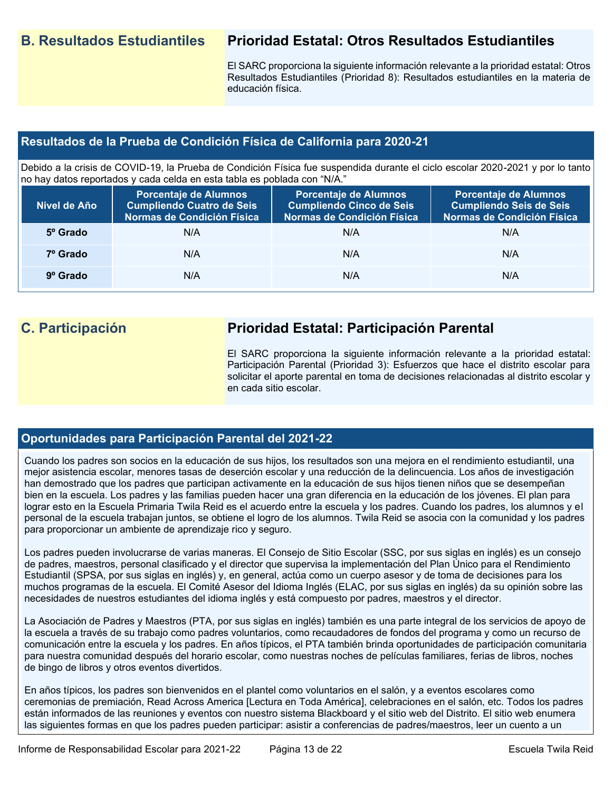# **B. Resultados Estudiantiles Prioridad Estatal: Otros Resultados Estudiantiles**

El SARC proporciona la siguiente información relevante a la prioridad estatal: Otros Resultados Estudiantiles (Prioridad 8): Resultados estudiantiles en la materia de educación física.

# **Resultados de la Prueba de Condición Física de California para 2020-21**

Debido a la crisis de COVID-19, la Prueba de Condición Física fue suspendida durante el ciclo escolar 2020-2021 y por lo tanto no hay datos reportados y cada celda en esta tabla es poblada con "N/A."

| Nivel de Año      | Porcentaje de Alumnos<br><b>Cumpliendo Cuatro de Seis</b><br>Normas de Condición Física | <b>Porcentaje de Alumnos</b><br><b>Cumpliendo Cinco de Seis</b><br>Normas de Condición Física | <b>Porcentaje de Alumnos</b><br><b>Cumpliendo Seis de Seis</b><br>Normas de Condición Física |
|-------------------|-----------------------------------------------------------------------------------------|-----------------------------------------------------------------------------------------------|----------------------------------------------------------------------------------------------|
| 5º Grado          | N/A                                                                                     | N/A                                                                                           | N/A                                                                                          |
| 7º Grado          | N/A                                                                                     | N/A                                                                                           | N/A                                                                                          |
| $9^{\circ}$ Grado | N/A                                                                                     | N/A                                                                                           | N/A                                                                                          |

# **C. Participación Prioridad Estatal: Participación Parental**

El SARC proporciona la siguiente información relevante a la prioridad estatal: Participación Parental (Prioridad 3): Esfuerzos que hace el distrito escolar para solicitar el aporte parental en toma de decisiones relacionadas al distrito escolar y en cada sitio escolar.

# **Oportunidades para Participación Parental del 2021-22**

Cuando los padres son socios en la educación de sus hijos, los resultados son una mejora en el rendimiento estudiantil, una mejor asistencia escolar, menores tasas de deserción escolar y una reducción de la delincuencia. Los años de investigación han demostrado que los padres que participan activamente en la educación de sus hijos tienen niños que se desempeñan bien en la escuela. Los padres y las familias pueden hacer una gran diferencia en la educación de los jóvenes. El plan para lograr esto en la Escuela Primaria Twila Reid es el acuerdo entre la escuela y los padres. Cuando los padres, los alumnos y el personal de la escuela trabajan juntos, se obtiene el logro de los alumnos. Twila Reid se asocia con la comunidad y los padres para proporcionar un ambiente de aprendizaje rico y seguro.

Los padres pueden involucrarse de varias maneras. El Consejo de Sitio Escolar (SSC, por sus siglas en inglés) es un consejo de padres, maestros, personal clasificado y el director que supervisa la implementación del Plan Único para el Rendimiento Estudiantil (SPSA, por sus siglas en inglés) y, en general, actúa como un cuerpo asesor y de toma de decisiones para los muchos programas de la escuela. El Comité Asesor del Idioma Inglés (ELAC, por sus siglas en inglés) da su opinión sobre las necesidades de nuestros estudiantes del idioma inglés y está compuesto por padres, maestros y el director.

La Asociación de Padres y Maestros (PTA, por sus siglas en inglés) también es una parte integral de los servicios de apoyo de la escuela a través de su trabajo como padres voluntarios, como recaudadores de fondos del programa y como un recurso de comunicación entre la escuela y los padres. En años típicos, el PTA también brinda oportunidades de participación comunitaria para nuestra comunidad después del horario escolar, como nuestras noches de películas familiares, ferias de libros, noches de bingo de libros y otros eventos divertidos.

En años típicos, los padres son bienvenidos en el plantel como voluntarios en el salón, y a eventos escolares como ceremonias de premiación, Read Across America [Lectura en Toda América], celebraciones en el salón, etc. Todos los padres están informados de las reuniones y eventos con nuestro sistema Blackboard y el sitio web del Distrito. El sitio web enumera las siguientes formas en que los padres pueden participar: asistir a conferencias de padres/maestros, leer un cuento a un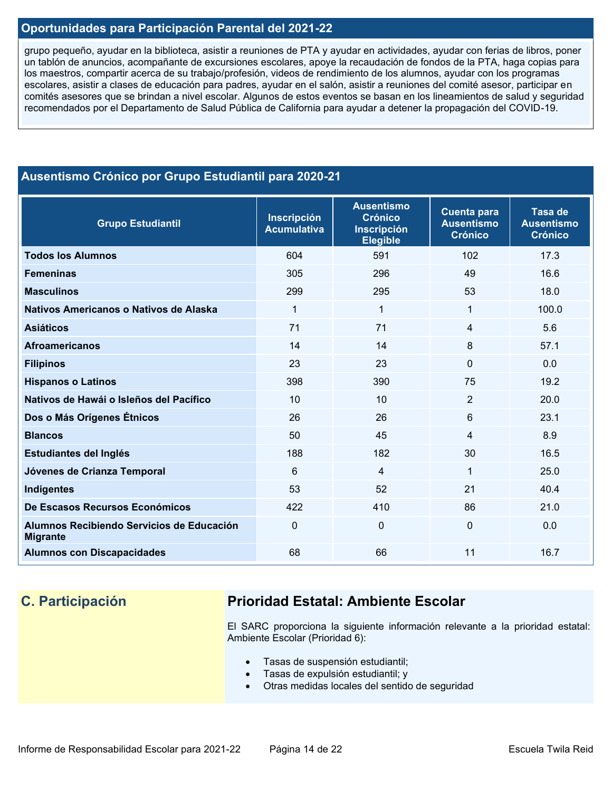# **Oportunidades para Participación Parental del 2021-22**

grupo pequeño, ayudar en la biblioteca, asistir a reuniones de PTA y ayudar en actividades, ayudar con ferias de libros, poner un tablón de anuncios, acompañante de excursiones escolares, apoye la recaudación de fondos de la PTA, haga copias para los maestros, compartir acerca de su trabajo/profesión, videos de rendimiento de los alumnos, ayudar con los programas escolares, asistir a clases de educación para padres, ayudar en el salón, asistir a reuniones del comité asesor, participar en comités asesores que se brindan a nivel escolar. Algunos de estos eventos se basan en los lineamientos de salud y seguridad recomendados por el Departamento de Salud Pública de California para ayudar a detener la propagación del COVID-19.

# **Ausentismo Crónico por Grupo Estudiantil para 2020-21**

| <b>Grupo Estudiantil</b>                                     | <b>Inscripción</b><br><b>Acumulativa</b> | <b>Ausentismo</b><br><b>Crónico</b><br><b>Inscripción</b><br><b>Elegible</b> | <b>Cuenta para</b><br><b>Ausentismo</b><br><b>Crónico</b> | Tasa de<br><b>Ausentismo</b><br><b>Crónico</b> |
|--------------------------------------------------------------|------------------------------------------|------------------------------------------------------------------------------|-----------------------------------------------------------|------------------------------------------------|
| <b>Todos los Alumnos</b>                                     | 604                                      | 591                                                                          | 102                                                       | 17.3                                           |
| <b>Femeninas</b>                                             | 305                                      | 296                                                                          | 49                                                        | 16.6                                           |
| <b>Masculinos</b>                                            | 299                                      | 295                                                                          | 53                                                        | 18.0                                           |
| Nativos Americanos o Nativos de Alaska                       | $\mathbf 1$                              | 1                                                                            | 1                                                         | 100.0                                          |
| <b>Asiáticos</b>                                             | 71                                       | 71                                                                           | 4                                                         | 5.6                                            |
| <b>Afroamericanos</b>                                        | 14                                       | 14                                                                           | 8                                                         | 57.1                                           |
| <b>Filipinos</b>                                             | 23                                       | 23                                                                           | $\Omega$                                                  | 0.0                                            |
| <b>Hispanos o Latinos</b>                                    | 398                                      | 390                                                                          | 75                                                        | 19.2                                           |
| Nativos de Hawái o Isleños del Pacífico                      | 10                                       | 10                                                                           | $\overline{2}$                                            | 20.0                                           |
| Dos o Más Orígenes Étnicos                                   | 26                                       | 26                                                                           | 6                                                         | 23.1                                           |
| <b>Blancos</b>                                               | 50                                       | 45                                                                           | 4                                                         | 8.9                                            |
| Estudiantes del Inglés                                       | 188                                      | 182                                                                          | 30                                                        | 16.5                                           |
| Jóvenes de Crianza Temporal                                  | 6                                        | 4                                                                            | 1                                                         | 25.0                                           |
| Indigentes                                                   | 53                                       | 52                                                                           | 21                                                        | 40.4                                           |
| De Escasos Recursos Económicos                               | 422                                      | 410                                                                          | 86                                                        | 21.0                                           |
| Alumnos Recibiendo Servicios de Educación<br><b>Migrante</b> | $\Omega$                                 | 0                                                                            | $\mathbf{0}$                                              | 0.0                                            |
| <b>Alumnos con Discapacidades</b>                            | 68                                       | 66                                                                           | 11                                                        | 16.7                                           |

# **C. Participación Prioridad Estatal: Ambiente Escolar**

El SARC proporciona la siguiente información relevante a la prioridad estatal: Ambiente Escolar (Prioridad 6):

- Tasas de suspensión estudiantil;
- Tasas de expulsión estudiantil; y
- Otras medidas locales del sentido de seguridad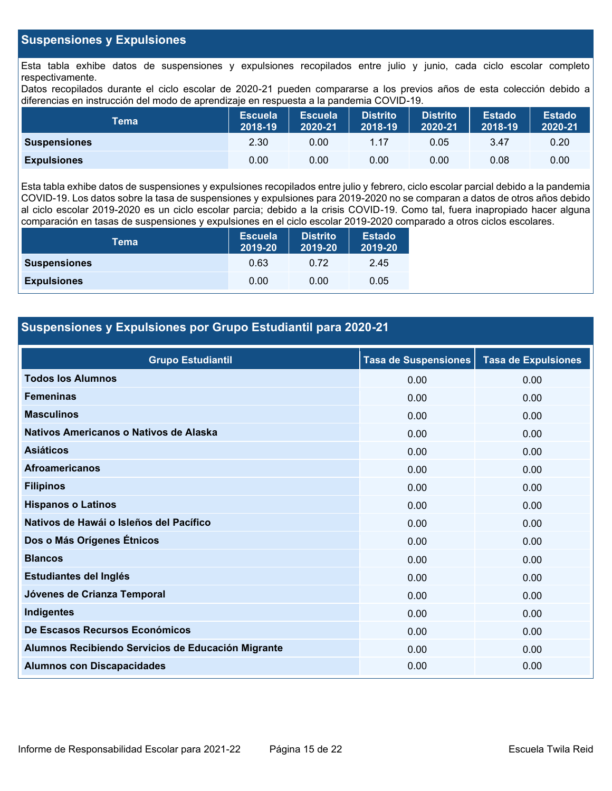# **Suspensiones y Expulsiones**

Esta tabla exhibe datos de suspensiones y expulsiones recopilados entre julio y junio, cada ciclo escolar completo respectivamente.

Datos recopilados durante el ciclo escolar de 2020-21 pueden compararse a los previos años de esta colección debido a diferencias en instrucción del modo de aprendizaje en respuesta a la pandemia COVID-19.

| Tema                | <b>Escuela</b><br>2018-19 | <b>Escuela</b><br>2020-21 | <b>Distrito</b><br>2018-19 | <b>Distrito</b><br>2020-21 | <b>Estado</b><br>2018-19 | <b>Estado</b><br>2020-21 |
|---------------------|---------------------------|---------------------------|----------------------------|----------------------------|--------------------------|--------------------------|
| <b>Suspensiones</b> | 2.30                      | 0.00                      | 1.17                       | 0.05                       | 3.47                     | 0.20                     |
| <b>Expulsiones</b>  | 0.00                      | 0.00                      | 0.00                       | 0.00                       | 0.08                     | 0.00                     |

Esta tabla exhibe datos de suspensiones y expulsiones recopilados entre julio y febrero, ciclo escolar parcial debido a la pandemia COVID-19. Los datos sobre la tasa de suspensiones y expulsiones para 2019-2020 no se comparan a datos de otros años debido al ciclo escolar 2019-2020 es un ciclo escolar parcia; debido a la crisis COVID-19. Como tal, fuera inapropiado hacer alguna comparación en tasas de suspensiones y expulsiones en el ciclo escolar 2019-2020 comparado a otros ciclos escolares.

| Tema                | <b>Escuela</b><br>2019-20 | <b>Distrito</b><br>2019-20 | <b>Estado</b><br>2019-20 |
|---------------------|---------------------------|----------------------------|--------------------------|
| <b>Suspensiones</b> | 0.63                      | 0.72                       | 2.45                     |
| <b>Expulsiones</b>  | 0.00                      | 0.00                       | 0.05                     |

# **Suspensiones y Expulsiones por Grupo Estudiantil para 2020-21**

| <b>Grupo Estudiantil</b>                           | <b>Tasa de Suspensiones</b> | <b>Tasa de Expulsiones</b> |
|----------------------------------------------------|-----------------------------|----------------------------|
| <b>Todos los Alumnos</b>                           | 0.00                        | 0.00                       |
| <b>Femeninas</b>                                   | 0.00                        | 0.00                       |
| <b>Masculinos</b>                                  | 0.00                        | 0.00                       |
| Nativos Americanos o Nativos de Alaska             | 0.00                        | 0.00                       |
| <b>Asiáticos</b>                                   | 0.00                        | 0.00                       |
| <b>Afroamericanos</b>                              | 0.00                        | 0.00                       |
| <b>Filipinos</b>                                   | 0.00                        | 0.00                       |
| <b>Hispanos o Latinos</b>                          | 0.00                        | 0.00                       |
| Nativos de Hawái o Isleños del Pacífico            | 0.00                        | 0.00                       |
| Dos o Más Orígenes Étnicos                         | 0.00                        | 0.00                       |
| <b>Blancos</b>                                     | 0.00                        | 0.00                       |
| Estudiantes del Inglés                             | 0.00                        | 0.00                       |
| Jóvenes de Crianza Temporal                        | 0.00                        | 0.00                       |
| <b>Indigentes</b>                                  | 0.00                        | 0.00                       |
| De Escasos Recursos Económicos                     | 0.00                        | 0.00                       |
| Alumnos Recibiendo Servicios de Educación Migrante | 0.00                        | 0.00                       |
| <b>Alumnos con Discapacidades</b>                  | 0.00                        | 0.00                       |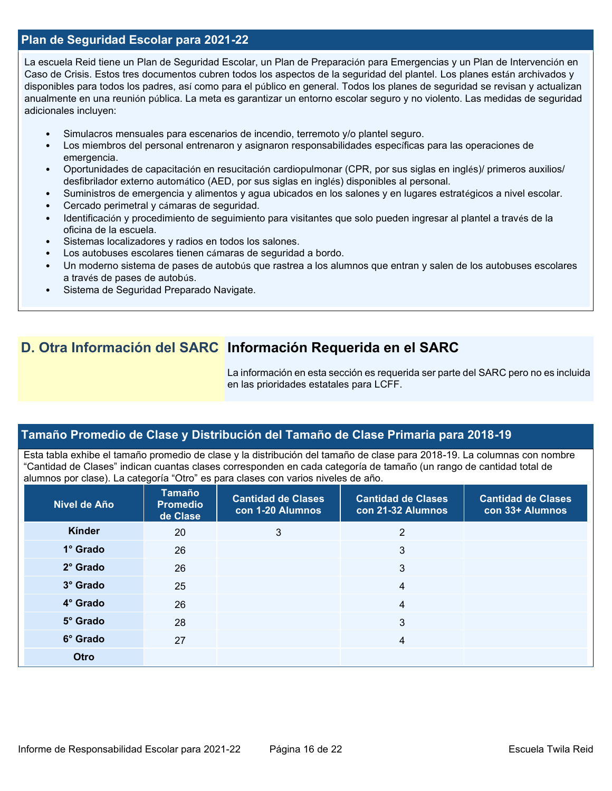## **Plan de Seguridad Escolar para 2021-22**

La escuela Reid tiene un Plan de Seguridad Escolar, un Plan de Preparación para Emergencias y un Plan de Intervención en Caso de Crisis. Estos tres documentos cubren todos los aspectos de la seguridad del plantel. Los planes están archivados y disponibles para todos los padres, así como para el público en general. Todos los planes de seguridad se revisan y actualizan anualmente en una reunión pública. La meta es garantizar un entorno escolar seguro y no violento. Las medidas de seguridad adicionales incluyen:

- Simulacros mensuales para escenarios de incendio, terremoto y/o plantel seguro.
- Los miembros del personal entrenaron y asignaron responsabilidades específicas para las operaciones de emergencia.
- Oportunidades de capacitación en resucitación cardiopulmonar (CPR, por sus siglas en inglés)/ primeros auxilios/ desfibrilador externo automático (AED, por sus siglas en inglés) disponibles al personal.
- Suministros de emergencia y alimentos y agua ubicados en los salones y en lugares estratégicos a nivel escolar.
- Cercado perimetral y cámaras de seguridad.
- Identificación y procedimiento de seguimiento para visitantes que solo pueden ingresar al plantel a través de la oficina de la escuela.
- Sistemas localizadores y radios en todos los salones.
- Los autobuses escolares tienen cámaras de seguridad a bordo.
- Un moderno sistema de pases de autobús que rastrea a los alumnos que entran y salen de los autobuses escolares a través de pases de autobús.
- Sistema de Seguridad Preparado Navigate.

# **D. Otra Información del SARC Información Requerida en el SARC**

La información en esta sección es requerida ser parte del SARC pero no es incluida en las prioridades estatales para LCFF.

# **Tamaño Promedio de Clase y Distribución del Tamaño de Clase Primaria para 2018-19**

Esta tabla exhibe el tamaño promedio de clase y la distribución del tamaño de clase para 2018-19. La columnas con nombre "Cantidad de Clases" indican cuantas clases corresponden en cada categoría de tamaño (un rango de cantidad total de alumnos por clase). La categoría "Otro" es para clases con varios niveles de año.

| Nivel de Año    | Tamaño<br><b>Promedio</b><br>de Clase | <b>Cantidad de Clases</b><br>con 1-20 Alumnos | <b>Cantidad de Clases</b><br>con 21-32 Alumnos | <b>Cantidad de Clases</b><br>con 33+ Alumnos |
|-----------------|---------------------------------------|-----------------------------------------------|------------------------------------------------|----------------------------------------------|
| Kínder          | 20                                    | 3                                             | 2                                              |                                              |
| 1° Grado        | 26                                    |                                               | 3                                              |                                              |
| $2^\circ$ Grado | 26                                    |                                               | 3                                              |                                              |
| 3° Grado        | 25                                    |                                               | 4                                              |                                              |
| 4° Grado        | 26                                    |                                               | $\overline{4}$                                 |                                              |
| 5° Grado        | 28                                    |                                               | 3                                              |                                              |
| 6° Grado        | 27                                    |                                               | $\overline{4}$                                 |                                              |
| Otro            |                                       |                                               |                                                |                                              |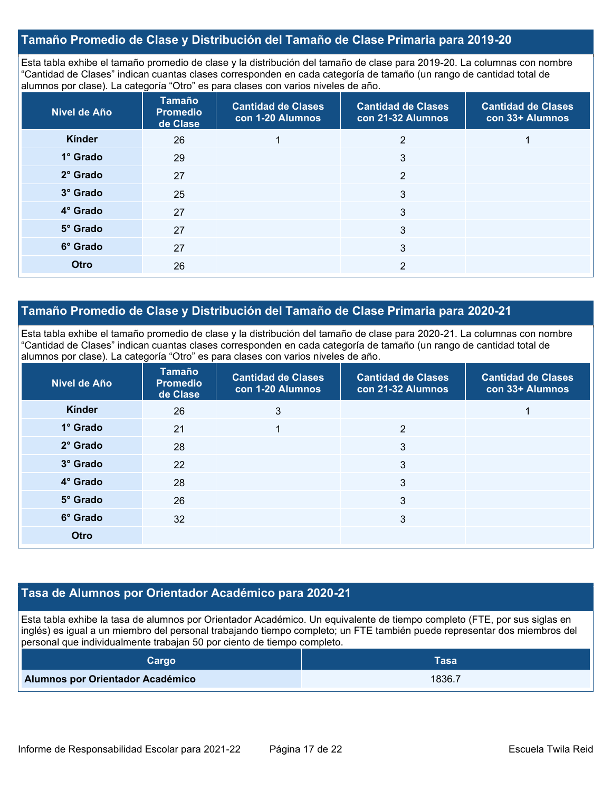# **Tamaño Promedio de Clase y Distribución del Tamaño de Clase Primaria para 2019-20**

Esta tabla exhibe el tamaño promedio de clase y la distribución del tamaño de clase para 2019-20. La columnas con nombre "Cantidad de Clases" indican cuantas clases corresponden en cada categoría de tamaño (un rango de cantidad total de alumnos por clase). La categoría "Otro" es para clases con varios niveles de año.

| Nivel de Año | <b>Tamaño</b><br><b>Promedio</b><br>de Clase | <b>Cantidad de Clases</b><br>con 1-20 Alumnos | <b>Cantidad de Clases</b><br>con 21-32 Alumnos | <b>Cantidad de Clases</b><br>con 33+ Alumnos |
|--------------|----------------------------------------------|-----------------------------------------------|------------------------------------------------|----------------------------------------------|
| Kínder       | 26                                           |                                               | $\overline{2}$                                 |                                              |
| 1° Grado     | 29                                           |                                               | 3                                              |                                              |
| 2° Grado     | 27                                           |                                               | $\overline{2}$                                 |                                              |
| 3° Grado     | 25                                           |                                               | 3                                              |                                              |
| 4° Grado     | 27                                           |                                               | 3                                              |                                              |
| 5° Grado     | 27                                           |                                               | 3                                              |                                              |
| 6° Grado     | 27                                           |                                               | 3                                              |                                              |
| Otro         | 26                                           |                                               | $\overline{2}$                                 |                                              |

## **Tamaño Promedio de Clase y Distribución del Tamaño de Clase Primaria para 2020-21**

Esta tabla exhibe el tamaño promedio de clase y la distribución del tamaño de clase para 2020-21. La columnas con nombre "Cantidad de Clases" indican cuantas clases corresponden en cada categoría de tamaño (un rango de cantidad total de alumnos por clase). La categoría "Otro" es para clases con varios niveles de año.

| Nivel de Año    | <b>Tamaño</b><br><b>Promedio</b><br>de Clase | <b>Cantidad de Clases</b><br>con 1-20 Alumnos | <b>Cantidad de Clases</b><br>con 21-32 Alumnos | <b>Cantidad de Clases</b><br>con 33+ Alumnos |
|-----------------|----------------------------------------------|-----------------------------------------------|------------------------------------------------|----------------------------------------------|
| Kínder          | 26                                           | 3                                             |                                                |                                              |
| 1° Grado        | 21                                           |                                               | 2                                              |                                              |
| 2° Grado        | 28                                           |                                               | 3                                              |                                              |
| 3° Grado        | 22                                           |                                               | 3                                              |                                              |
| $4^\circ$ Grado | 28                                           |                                               | 3                                              |                                              |
| 5° Grado        | 26                                           |                                               | 3                                              |                                              |
| 6° Grado        | 32                                           |                                               | 3                                              |                                              |
| Otro            |                                              |                                               |                                                |                                              |

## **Tasa de Alumnos por Orientador Académico para 2020-21**

Esta tabla exhibe la tasa de alumnos por Orientador Académico. Un equivalente de tiempo completo (FTE, por sus siglas en inglés) es igual a un miembro del personal trabajando tiempo completo; un FTE también puede representar dos miembros del personal que individualmente trabajan 50 por ciento de tiempo completo.

| Carqo                            | <b>Tasa</b> |
|----------------------------------|-------------|
| Alumnos por Orientador Académico | 1836.7      |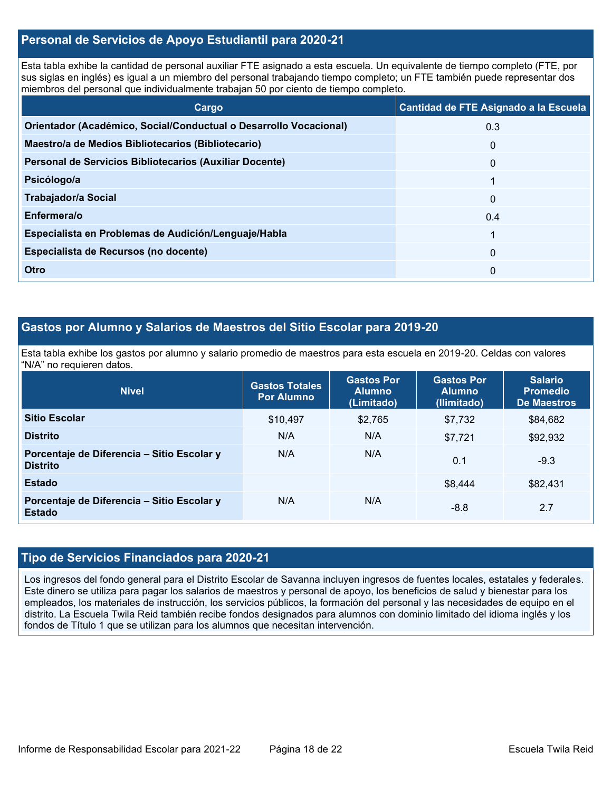# **Personal de Servicios de Apoyo Estudiantil para 2020-21**

Esta tabla exhibe la cantidad de personal auxiliar FTE asignado a esta escuela. Un equivalente de tiempo completo (FTE, por sus siglas en inglés) es igual a un miembro del personal trabajando tiempo completo; un FTE también puede representar dos miembros del personal que individualmente trabajan 50 por ciento de tiempo completo.

| Cargo                                                             | Cantidad de FTE Asignado a la Escuela |
|-------------------------------------------------------------------|---------------------------------------|
| Orientador (Académico, Social/Conductual o Desarrollo Vocacional) | 0.3                                   |
| Maestro/a de Medios Bibliotecarios (Bibliotecario)                | 0                                     |
| Personal de Servicios Bibliotecarios (Auxiliar Docente)           | $\mathbf{0}$                          |
| Psicólogo/a                                                       |                                       |
| Trabajador/a Social                                               | $\Omega$                              |
| Enfermera/o                                                       | 0.4                                   |
| Especialista en Problemas de Audición/Lenguaje/Habla              |                                       |
| Especialista de Recursos (no docente)                             | $\mathbf{0}$                          |
| Otro                                                              | 0                                     |

# **Gastos por Alumno y Salarios de Maestros del Sitio Escolar para 2019-20**

Esta tabla exhibe los gastos por alumno y salario promedio de maestros para esta escuela en 2019-20. Celdas con valores "N/A" no requieren datos.

| <b>Nivel</b>                                                  | <b>Gastos Totales</b><br><b>Por Alumno</b> | <b>Gastos Por</b><br><b>Alumno</b><br>(Limitado) | <b>Gastos Por</b><br><b>Alumno</b><br>(Ilimitado) | <b>Salario</b><br><b>Promedio</b><br><b>De Maestros</b> |
|---------------------------------------------------------------|--------------------------------------------|--------------------------------------------------|---------------------------------------------------|---------------------------------------------------------|
| <b>Sitio Escolar</b>                                          | \$10,497                                   | \$2,765                                          | \$7,732                                           | \$84,682                                                |
| <b>Distrito</b>                                               | N/A                                        | N/A                                              | \$7.721                                           | \$92,932                                                |
| Porcentaje de Diferencia - Sitio Escolar y<br><b>Distrito</b> | N/A                                        | N/A                                              | 0.1                                               | $-9.3$                                                  |
| <b>Estado</b>                                                 |                                            |                                                  | \$8,444                                           | \$82,431                                                |
| Porcentaje de Diferencia - Sitio Escolar y<br><b>Estado</b>   | N/A                                        | N/A                                              | $-8.8$                                            | 2.7                                                     |

### **Tipo de Servicios Financiados para 2020-21**

Los ingresos del fondo general para el Distrito Escolar de Savanna incluyen ingresos de fuentes locales, estatales y federales. Este dinero se utiliza para pagar los salarios de maestros y personal de apoyo, los beneficios de salud y bienestar para los empleados, los materiales de instrucción, los servicios públicos, la formación del personal y las necesidades de equipo en el distrito. La Escuela Twila Reid también recibe fondos designados para alumnos con dominio limitado del idioma inglés y los fondos de Título 1 que se utilizan para los alumnos que necesitan intervención.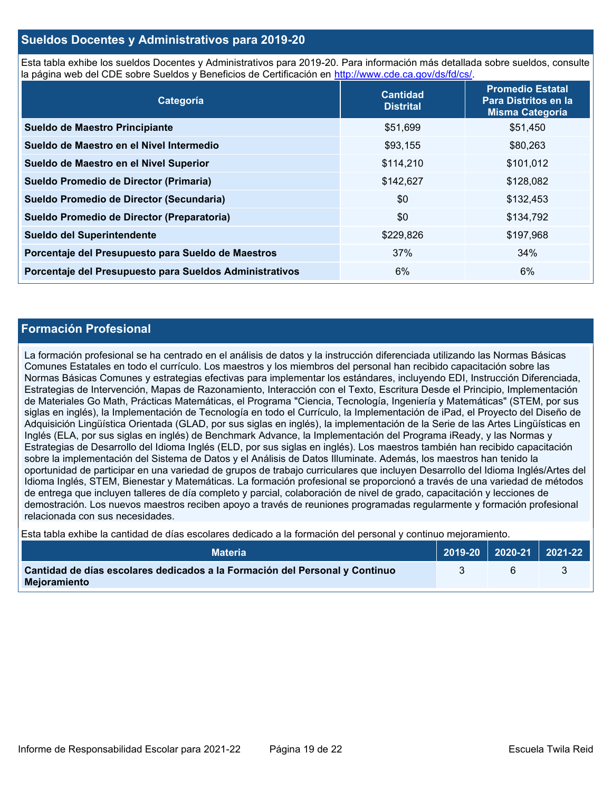# **Sueldos Docentes y Administrativos para 2019-20**

Esta tabla exhibe los sueldos Docentes y Administrativos para 2019-20. Para información más detallada sobre sueldos, consulte la página web del CDE sobre Sueldos y Beneficios de Certificación en [http://www.cde.ca.gov/ds/fd/cs/.](http://www.cde.ca.gov/ds/fd/cs/)

| Categoría                                               | <b>Cantidad</b><br><b>Distrital</b> | <b>Promedio Estatal</b><br>Para Distritos en la<br><b>Misma Categoría</b> |
|---------------------------------------------------------|-------------------------------------|---------------------------------------------------------------------------|
| Sueldo de Maestro Principiante                          | \$51,699                            | \$51,450                                                                  |
| Sueldo de Maestro en el Nivel Intermedio                | \$93,155                            | \$80,263                                                                  |
| Sueldo de Maestro en el Nivel Superior                  | \$114,210                           | \$101,012                                                                 |
| Sueldo Promedio de Director (Primaria)                  | \$142,627                           | \$128,082                                                                 |
| Sueldo Promedio de Director (Secundaria)                | \$0                                 | \$132,453                                                                 |
| Sueldo Promedio de Director (Preparatoria)              | \$0                                 | \$134,792                                                                 |
| Sueldo del Superintendente                              | \$229,826                           | \$197,968                                                                 |
| Porcentaje del Presupuesto para Sueldo de Maestros      | 37%                                 | 34%                                                                       |
| Porcentaje del Presupuesto para Sueldos Administrativos | 6%                                  | $6\%$                                                                     |

# **Formación Profesional**

La formación profesional se ha centrado en el análisis de datos y la instrucción diferenciada utilizando las Normas Básicas Comunes Estatales en todo el currículo. Los maestros y los miembros del personal han recibido capacitación sobre las Normas Básicas Comunes y estrategias efectivas para implementar los estándares, incluyendo EDI, Instrucción Diferenciada, Estrategias de Intervención, Mapas de Razonamiento, Interacción con el Texto, Escritura Desde el Principio, Implementación de Materiales Go Math, Prácticas Matemáticas, el Programa "Ciencia, Tecnología, Ingeniería y Matemáticas" (STEM, por sus siglas en inglés), la Implementación de Tecnología en todo el Currículo, la Implementación de iPad, el Proyecto del Diseño de Adquisición Lingüística Orientada (GLAD, por sus siglas en inglés), la implementación de la Serie de las Artes Lingüísticas en Inglés (ELA, por sus siglas en inglés) de Benchmark Advance, la Implementación del Programa iReady, y las Normas y Estrategias de Desarrollo del Idioma Inglés (ELD, por sus siglas en inglés). Los maestros también han recibido capacitación sobre la implementación del Sistema de Datos y el Análisis de Datos Illuminate. Además, los maestros han tenido la oportunidad de participar en una variedad de grupos de trabajo curriculares que incluyen Desarrollo del Idioma Inglés/Artes del Idioma Inglés, STEM, Bienestar y Matemáticas. La formación profesional se proporcionó a través de una variedad de métodos de entrega que incluyen talleres de día completo y parcial, colaboración de nivel de grado, capacitación y lecciones de demostración. Los nuevos maestros reciben apoyo a través de reuniones programadas regularmente y formación profesional relacionada con sus necesidades.

Esta tabla exhibe la cantidad de días escolares dedicado a la formación del personal y continuo mejoramiento.

| <b>Materia</b>                                                                              | $\big\vert$ 2019-20 2020-21 2021-22 |  |
|---------------------------------------------------------------------------------------------|-------------------------------------|--|
| Cantidad de días escolares dedicados a la Formación del Personal y Continuo<br>Mejoramiento |                                     |  |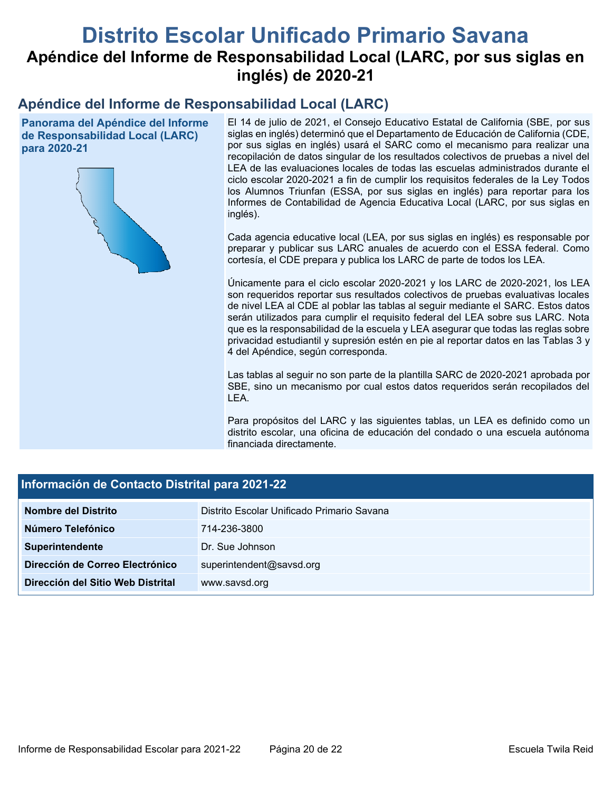# **Distrito Escolar Unificado Primario Savana Apéndice del Informe de Responsabilidad Local (LARC, por sus siglas en inglés) de 2020-21**

# **Apéndice del Informe de Responsabilidad Local (LARC)**

**Panorama del Apéndice del Informe de Responsabilidad Local (LARC) para 2020-21**



El 14 de julio de 2021, el Consejo Educativo Estatal de California (SBE, por sus siglas en inglés) determinó que el Departamento de Educación de California (CDE, por sus siglas en inglés) usará el SARC como el mecanismo para realizar una recopilación de datos singular de los resultados colectivos de pruebas a nivel del LEA de las evaluaciones locales de todas las escuelas administrados durante el ciclo escolar 2020-2021 a fin de cumplir los requisitos federales de la Ley Todos los Alumnos Triunfan (ESSA, por sus siglas en inglés) para reportar para los Informes de Contabilidad de Agencia Educativa Local (LARC, por sus siglas en inglés).

Cada agencia educative local (LEA, por sus siglas en inglés) es responsable por preparar y publicar sus LARC anuales de acuerdo con el ESSA federal. Como cortesía, el CDE prepara y publica los LARC de parte de todos los LEA.

Únicamente para el ciclo escolar 2020-2021 y los LARC de 2020-2021, los LEA son requeridos reportar sus resultados colectivos de pruebas evaluativas locales de nivel LEA al CDE al poblar las tablas al seguir mediante el SARC. Estos datos serán utilizados para cumplir el requisito federal del LEA sobre sus LARC. Nota que es la responsabilidad de la escuela y LEA asegurar que todas las reglas sobre privacidad estudiantil y supresión estén en pie al reportar datos en las Tablas 3 y 4 del Apéndice, según corresponda.

Las tablas al seguir no son parte de la plantilla SARC de 2020-2021 aprobada por SBE, sino un mecanismo por cual estos datos requeridos serán recopilados del LEA.

Para propósitos del LARC y las siguientes tablas, un LEA es definido como un distrito escolar, una oficina de educación del condado o una escuela autónoma financiada directamente.

| Información de Contacto Distrital para 2021-22 |                                            |  |  |  |
|------------------------------------------------|--------------------------------------------|--|--|--|
| Nombre del Distrito                            | Distrito Escolar Unificado Primario Savana |  |  |  |
| Número Telefónico                              | 714-236-3800                               |  |  |  |
| Superintendente                                | Dr. Sue Johnson                            |  |  |  |
| Dirección de Correo Electrónico                | superintendent@savsd.org                   |  |  |  |
| Dirección del Sitio Web Distrital              | www.savsd.org                              |  |  |  |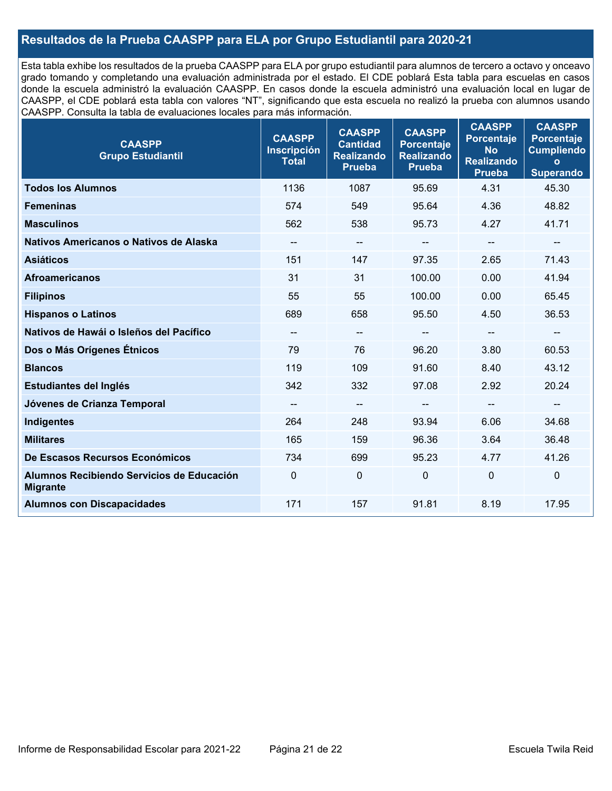# **Resultados de la Prueba CAASPP para ELA por Grupo Estudiantil para 2020-21**

Esta tabla exhibe los resultados de la prueba CAASPP para ELA por grupo estudiantil para alumnos de tercero a octavo y onceavo grado tomando y completando una evaluación administrada por el estado. El CDE poblará Esta tabla para escuelas en casos donde la escuela administró la evaluación CAASPP. En casos donde la escuela administró una evaluación local en lugar de CAASPP, el CDE poblará esta tabla con valores "NT", significando que esta escuela no realizó la prueba con alumnos usando CAASPP. Consulta la tabla de evaluaciones locales para más información.

| <b>CAASPP</b><br><b>Grupo Estudiantil</b>                    | <b>CAASPP</b><br><b>Inscripción</b><br><b>Total</b> | <b>CAASPP</b><br><b>Cantidad</b><br><b>Realizando</b><br><b>Prueba</b> | <b>CAASPP</b><br><b>Porcentaje</b><br><b>Realizando</b><br><b>Prueba</b> | <b>CAASPP</b><br><b>Porcentaje</b><br><b>No</b><br><b>Realizando</b><br><b>Prueba</b> | <b>CAASPP</b><br><b>Porcentaje</b><br><b>Cumpliendo</b><br>$\mathbf{o}$<br><b>Superando</b> |
|--------------------------------------------------------------|-----------------------------------------------------|------------------------------------------------------------------------|--------------------------------------------------------------------------|---------------------------------------------------------------------------------------|---------------------------------------------------------------------------------------------|
| <b>Todos los Alumnos</b>                                     | 1136                                                | 1087                                                                   | 95.69                                                                    | 4.31                                                                                  | 45.30                                                                                       |
| <b>Femeninas</b>                                             | 574                                                 | 549                                                                    | 95.64                                                                    | 4.36                                                                                  | 48.82                                                                                       |
| <b>Masculinos</b>                                            | 562                                                 | 538                                                                    | 95.73                                                                    | 4.27                                                                                  | 41.71                                                                                       |
| Nativos Americanos o Nativos de Alaska                       | $-\!$ $\!-$                                         | $--$                                                                   | --                                                                       | $\hspace{0.05cm}$ – $\hspace{0.05cm}$                                                 | $-\!$                                                                                       |
| <b>Asiáticos</b>                                             | 151                                                 | 147                                                                    | 97.35                                                                    | 2.65                                                                                  | 71.43                                                                                       |
| <b>Afroamericanos</b>                                        | 31                                                  | 31                                                                     | 100.00                                                                   | 0.00                                                                                  | 41.94                                                                                       |
| <b>Filipinos</b>                                             | 55                                                  | 55                                                                     | 100.00                                                                   | 0.00                                                                                  | 65.45                                                                                       |
| <b>Hispanos o Latinos</b>                                    | 689                                                 | 658                                                                    | 95.50                                                                    | 4.50                                                                                  | 36.53                                                                                       |
| Nativos de Hawái o Isleños del Pacífico                      | $\qquad \qquad -$                                   | $-\!$ –                                                                | --                                                                       | --                                                                                    | --                                                                                          |
| Dos o Más Orígenes Étnicos                                   | 79                                                  | 76                                                                     | 96.20                                                                    | 3.80                                                                                  | 60.53                                                                                       |
| <b>Blancos</b>                                               | 119                                                 | 109                                                                    | 91.60                                                                    | 8.40                                                                                  | 43.12                                                                                       |
| Estudiantes del Inglés                                       | 342                                                 | 332                                                                    | 97.08                                                                    | 2.92                                                                                  | 20.24                                                                                       |
| Jóvenes de Crianza Temporal                                  | $\overline{\phantom{a}}$                            | $-$                                                                    |                                                                          | --                                                                                    | $-\!$                                                                                       |
| Indigentes                                                   | 264                                                 | 248                                                                    | 93.94                                                                    | 6.06                                                                                  | 34.68                                                                                       |
| <b>Militares</b>                                             | 165                                                 | 159                                                                    | 96.36                                                                    | 3.64                                                                                  | 36.48                                                                                       |
| De Escasos Recursos Económicos                               | 734                                                 | 699                                                                    | 95.23                                                                    | 4.77                                                                                  | 41.26                                                                                       |
| Alumnos Recibiendo Servicios de Educación<br><b>Migrante</b> | $\mathbf 0$                                         | 0                                                                      | 0                                                                        | $\Omega$                                                                              | $\mathbf 0$                                                                                 |
| <b>Alumnos con Discapacidades</b>                            | 171                                                 | 157                                                                    | 91.81                                                                    | 8.19                                                                                  | 17.95                                                                                       |